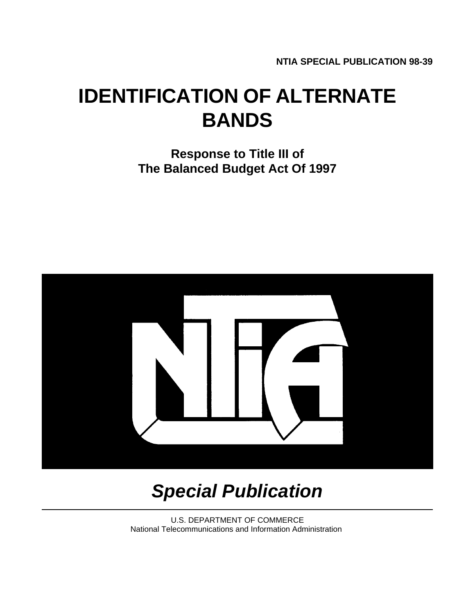**NTIA SPECIAL PUBLICATION 98-39**

# **IDENTIFICATION OF ALTERNATE BANDS**

 **Response to Title III of The Balanced Budget Act Of 1997**



# *Special Publication*

U.S. DEPARTMENT OF COMMERCE National Telecommunications and Information Administration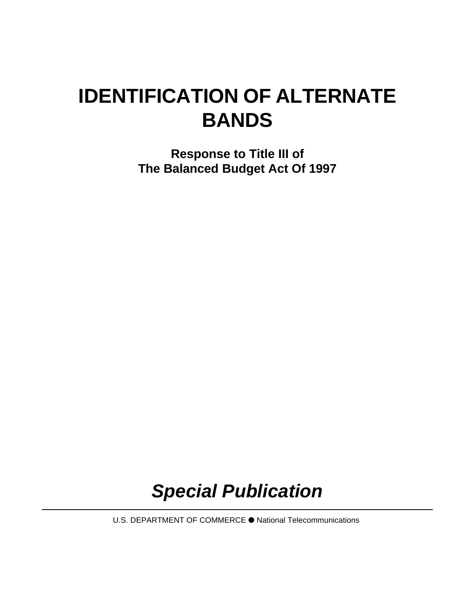# **IDENTIFICATION OF ALTERNATE BANDS**

 **Response to Title III of The Balanced Budget Act Of 1997**

# *Special Publication*

U.S. DEPARTMENT OF COMMERCE é National Telecommunications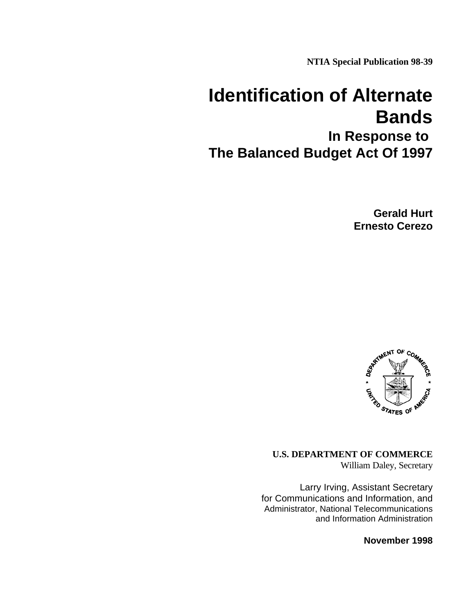**NTIA Special Publication 98-39**

# **Identification of Alternate Bands**

**In Response to The Balanced Budget Act Of 1997**

> **Gerald Hurt Ernesto Cerezo**



**U.S. DEPARTMENT OF COMMERCE** William Daley, Secretary

Larry Irving, Assistant Secretary for Communications and Information, and Administrator, National Telecommunications and Information Administration

**November 1998**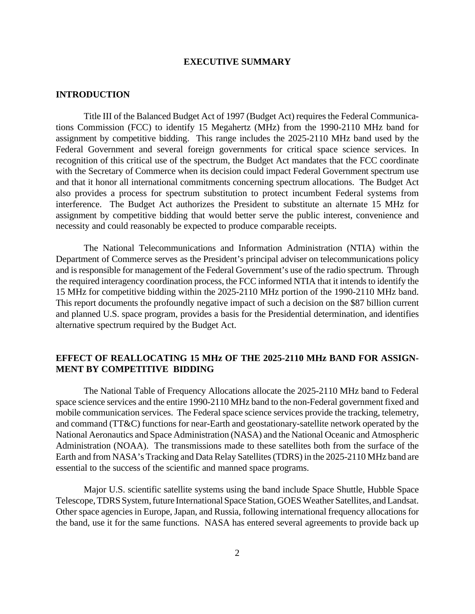# **EXECUTIVE SUMMARY**

## **INTRODUCTION**

Title III of the Balanced Budget Act of 1997 (Budget Act) requires the Federal Communications Commission (FCC) to identify 15 Megahertz (MHz) from the 1990-2110 MHz band for assignment by competitive bidding. This range includes the 2025-2110 MHz band used by the Federal Government and several foreign governments for critical space science services. In recognition of this critical use of the spectrum, the Budget Act mandates that the FCC coordinate with the Secretary of Commerce when its decision could impact Federal Government spectrum use and that it honor all international commitments concerning spectrum allocations. The Budget Act also provides a process for spectrum substitution to protect incumbent Federal systems from interference. The Budget Act authorizes the President to substitute an alternate 15 MHz for assignment by competitive bidding that would better serve the public interest, convenience and necessity and could reasonably be expected to produce comparable receipts.

The National Telecommunications and Information Administration (NTIA) within the Department of Commerce serves as the President's principal adviser on telecommunications policy and is responsible for management of the Federal Government's use of the radio spectrum. Through the required interagency coordination process, the FCC informed NTIA that it intends to identify the 15 MHz for competitive bidding within the 2025-2110 MHz portion of the 1990-2110 MHz band. This report documents the profoundly negative impact of such a decision on the \$87 billion current and planned U.S. space program, provides a basis for the Presidential determination, and identifies alternative spectrum required by the Budget Act.

# **EFFECT OF REALLOCATING 15 MHz OF THE 2025-2110 MHz BAND FOR ASSIGN-MENT BY COMPETITIVE BIDDING**

The National Table of Frequency Allocations allocate the 2025-2110 MHz band to Federal space science services and the entire 1990-2110 MHz band to the non-Federal government fixed and mobile communication services. The Federal space science services provide the tracking, telemetry, and command (TT&C) functions for near-Earth and geostationary-satellite network operated by the National Aeronautics and Space Administration (NASA) and the National Oceanic and Atmospheric Administration (NOAA). The transmissions made to these satellites both from the surface of the Earth and from NASA's Tracking and Data Relay Satellites (TDRS) in the 2025-2110 MHz band are essential to the success of the scientific and manned space programs.

Major U.S. scientific satellite systems using the band include Space Shuttle, Hubble Space Telescope, TDRS System, future International Space Station, GOES Weather Satellites, and Landsat. Other space agencies in Europe, Japan, and Russia, following international frequency allocations for the band, use it for the same functions. NASA has entered several agreements to provide back up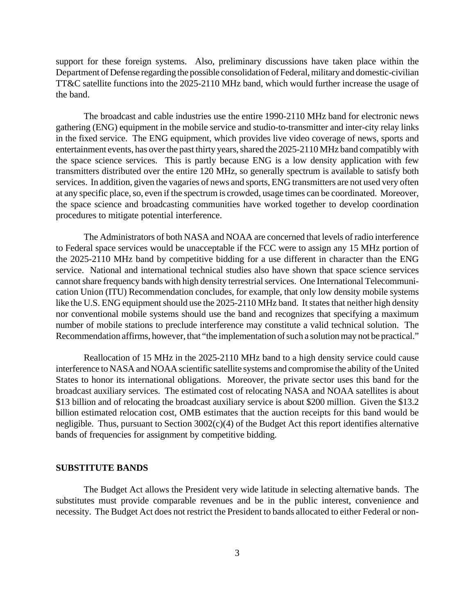support for these foreign systems. Also, preliminary discussions have taken place within the Department of Defense regarding the possible consolidation of Federal, military and domestic-civilian TT&C satellite functions into the 2025-2110 MHz band, which would further increase the usage of the band.

The broadcast and cable industries use the entire 1990-2110 MHz band for electronic news gathering (ENG) equipment in the mobile service and studio-to-transmitter and inter-city relay links in the fixed service. The ENG equipment, which provides live video coverage of news, sports and entertainment events, has over the past thirty years, shared the 2025-2110 MHz band compatibly with the space science services. This is partly because ENG is a low density application with few transmitters distributed over the entire 120 MHz, so generally spectrum is available to satisfy both services. In addition, given the vagaries of news and sports, ENG transmitters are not used very often at any specific place, so, even if the spectrum is crowded, usage times can be coordinated. Moreover, the space science and broadcasting communities have worked together to develop coordination procedures to mitigate potential interference.

The Administrators of both NASA and NOAA are concerned that levels of radio interference to Federal space services would be unacceptable if the FCC were to assign any 15 MHz portion of the 2025-2110 MHz band by competitive bidding for a use different in character than the ENG service. National and international technical studies also have shown that space science services cannot share frequency bands with high density terrestrial services. One International Telecommunication Union (ITU) Recommendation concludes, for example, that only low density mobile systems like the U.S. ENG equipment should use the 2025-2110 MHz band. It states that neither high density nor conventional mobile systems should use the band and recognizes that specifying a maximum number of mobile stations to preclude interference may constitute a valid technical solution. The Recommendation affirms, however, that "the implementation of such a solution may not be practical."

Reallocation of 15 MHz in the 2025-2110 MHz band to a high density service could cause interference to NASA and NOAA scientific satellite systems and compromise the ability of the United States to honor its international obligations. Moreover, the private sector uses this band for the broadcast auxiliary services. The estimated cost of relocating NASA and NOAA satellites is about \$13 billion and of relocating the broadcast auxiliary service is about \$200 million. Given the \$13.2 billion estimated relocation cost, OMB estimates that the auction receipts for this band would be negligible. Thus, pursuant to Section 3002(c)(4) of the Budget Act this report identifies alternative bands of frequencies for assignment by competitive bidding.

#### **SUBSTITUTE BANDS**

The Budget Act allows the President very wide latitude in selecting alternative bands. The substitutes must provide comparable revenues and be in the public interest, convenience and necessity. The Budget Act does not restrict the President to bands allocated to either Federal or non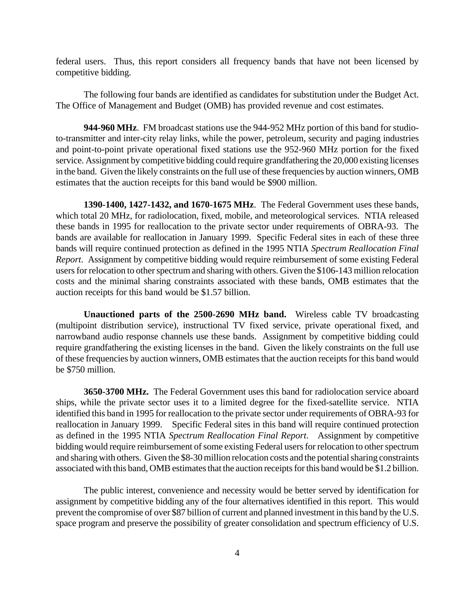federal users. Thus, this report considers all frequency bands that have not been licensed by competitive bidding.

The following four bands are identified as candidates for substitution under the Budget Act. The Office of Management and Budget (OMB) has provided revenue and cost estimates.

**944-960 MHz**. FM broadcast stations use the 944-952 MHz portion of this band for studioto-transmitter and inter-city relay links, while the power, petroleum, security and paging industries and point-to-point private operational fixed stations use the 952-960 MHz portion for the fixed service. Assignment by competitive bidding could require grandfathering the 20,000 existing licenses in the band. Given the likely constraints on the full use of these frequencies by auction winners, OMB estimates that the auction receipts for this band would be \$900 million.

**1390-1400, 1427-1432, and 1670-1675 MHz**. The Federal Government uses these bands, which total 20 MHz, for radiolocation, fixed, mobile, and meteorological services. NTIA released these bands in 1995 for reallocation to the private sector under requirements of OBRA-93. The bands are available for reallocation in January 1999. Specific Federal sites in each of these three bands will require continued protection as defined in the 1995 NTIA *Spectrum Reallocation Final Report*. Assignment by competitive bidding would require reimbursement of some existing Federal users for relocation to other spectrum and sharing with others. Given the \$106-143 million relocation costs and the minimal sharing constraints associated with these bands, OMB estimates that the auction receipts for this band would be \$1.57 billion.

**Unauctioned parts of the 2500-2690 MHz band.** Wireless cable TV broadcasting (multipoint distribution service), instructional TV fixed service, private operational fixed, and narrowband audio response channels use these bands. Assignment by competitive bidding could require grandfathering the existing licenses in the band. Given the likely constraints on the full use of these frequencies by auction winners, OMB estimates that the auction receipts for this band would be \$750 million.

**3650-3700 MHz.** The Federal Government uses this band for radiolocation service aboard ships, while the private sector uses it to a limited degree for the fixed-satellite service. NTIA identified this band in 1995 for reallocation to the private sector under requirements of OBRA-93 for reallocation in January 1999. Specific Federal sites in this band will require continued protection as defined in the 1995 NTIA *Spectrum Reallocation Final Report*.Assignment by competitive bidding would require reimbursement of some existing Federal users for relocation to other spectrum and sharing with others. Given the \$8-30 million relocation costs and the potential sharing constraints associated with this band, OMB estimates that the auction receipts for this band would be \$1.2 billion.

The public interest, convenience and necessity would be better served by identification for assignment by competitive bidding any of the four alternatives identified in this report. This would prevent the compromise of over \$87 billion of current and planned investment in this band by the U.S. space program and preserve the possibility of greater consolidation and spectrum efficiency of U.S.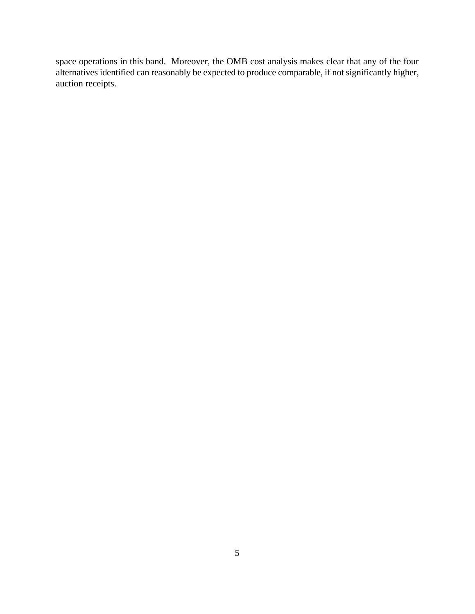space operations in this band. Moreover, the OMB cost analysis makes clear that any of the four alternatives identified can reasonably be expected to produce comparable, if not significantly higher, auction receipts.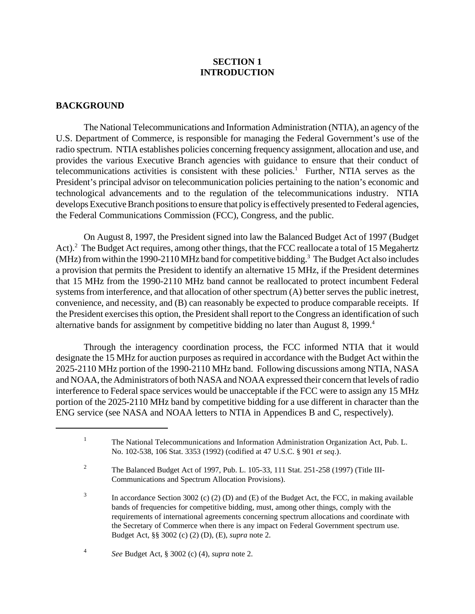# **SECTION 1 INTRODUCTION**

# **BACKGROUND**

The National Telecommunications and Information Administration (NTIA), an agency of the U.S. Department of Commerce, is responsible for managing the Federal Government's use of the radio spectrum. NTIA establishes policies concerning frequency assignment, allocation and use, and provides the various Executive Branch agencies with guidance to ensure that their conduct of telecommunications activities is consistent with these policies.<sup>1</sup> Further, NTIA serves as the President's principal advisor on telecommunication policies pertaining to the nation's economic and technological advancements and to the regulation of the telecommunications industry. NTIA develops Executive Branch positions to ensure that policy is effectively presented to Federal agencies, the Federal Communications Commission (FCC), Congress, and the public.

On August 8, 1997, the President signed into law the Balanced Budget Act of 1997 (Budget Act).<sup>2</sup> The Budget Act requires, among other things, that the FCC reallocate a total of 15 Megahertz (MHz) from within the 1990-2110 MHz band for competitive bidding.<sup>3</sup> The Budget Act also includes a provision that permits the President to identify an alternative 15 MHz, if the President determines that 15 MHz from the 1990-2110 MHz band cannot be reallocated to protect incumbent Federal systems from interference, and that allocation of other spectrum (A) better serves the public inetrest, convenience, and necessity, and (B) can reasonably be expected to produce comparable receipts. If the President exercises this option, the President shall report to the Congress an identification of such alternative bands for assignment by competitive bidding no later than August 8, 1999.<sup>4</sup>

Through the interagency coordination process, the FCC informed NTIA that it would designate the 15 MHz for auction purposes as required in accordance with the Budget Act within the 2025-2110 MHz portion of the 1990-2110 MHz band. Following discussions among NTIA, NASA and NOAA, the Administrators of both NASA and NOAA expressed their concern that levels of radio interference to Federal space services would be unacceptable if the FCC were to assign any 15 MHz portion of the 2025-2110 MHz band by competitive bidding for a use different in character than the ENG service (see NASA and NOAA letters to NTIA in Appendices B and C, respectively).

<sup>1</sup> The National Telecommunications and Information Administration Organization Act, Pub. L. No. 102-538, 106 Stat. 3353 (1992) (codified at 47 U.S.C. § 901 *et seq*.).

<sup>2</sup> The Balanced Budget Act of 1997, Pub. L. 105-33, 111 Stat. 251-258 (1997) (Title III-Communications and Spectrum Allocation Provisions).

<sup>3</sup> In accordance Section 3002 (c) (2) (D) and (E) of the Budget Act, the FCC, in making available bands of frequencies for competitive bidding, must, among other things, comply with the requirements of international agreements concerning spectrum allocations and coordinate with the Secretary of Commerce when there is any impact on Federal Government spectrum use. Budget Act, §§ 3002 (c) (2) (D), (E), *supra* note 2.

<sup>4</sup> *See* Budget Act, § 3002 (c) (4), *supra* note 2.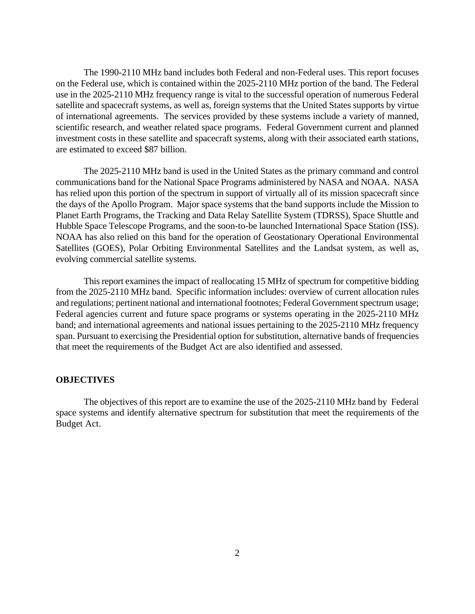The 1990-2110 MHz band includes both Federal and non-Federal uses. This report focuses on the Federal use, which is contained within the 2025-2110 MHz portion of the band. The Federal use in the 2025-2110 MHz frequency range is vital to the successful operation of numerous Federal satellite and spacecraft systems, as well as, foreign systems that the United States supports by virtue of international agreements. The services provided by these systems include a variety of manned, scientific research, and weather related space programs. Federal Government current and planned investment costs in these satellite and spacecraft systems, along with their associated earth stations, are estimated to exceed \$87 billion.

The 2025-2110 MHz band is used in the United States as the primary command and control communications band for the National Space Programs administered by NASA and NOAA. NASA has relied upon this portion of the spectrum in support of virtually all of its mission spacecraft since the days of the Apollo Program. Major space systems that the band supports include the Mission to Planet Earth Programs, the Tracking and Data Relay Satellite System (TDRSS), Space Shuttle and Hubble Space Telescope Programs, and the soon-to-be launched International Space Station (ISS). NOAA has also relied on this band for the operation of Geostationary Operational Environmental Satellites (GOES), Polar Orbiting Environmental Satellites and the Landsat system, as well as, evolving commercial satellite systems.

This report examines the impact of reallocating 15 MHz of spectrum for competitive bidding from the 2025-2110 MHz band. Specific information includes: overview of current allocation rules and regulations; pertinent national and international footnotes; Federal Government spectrum usage; Federal agencies current and future space programs or systems operating in the 2025-2110 MHz band; and international agreements and national issues pertaining to the 2025-2110 MHz frequency span. Pursuant to exercising the Presidential option for substitution, alternative bands of frequencies that meet the requirements of the Budget Act are also identified and assessed.

# **OBJECTIVES**

The objectives of this report are to examine the use of the 2025-2110 MHz band by Federal space systems and identify alternative spectrum for substitution that meet the requirements of the Budget Act.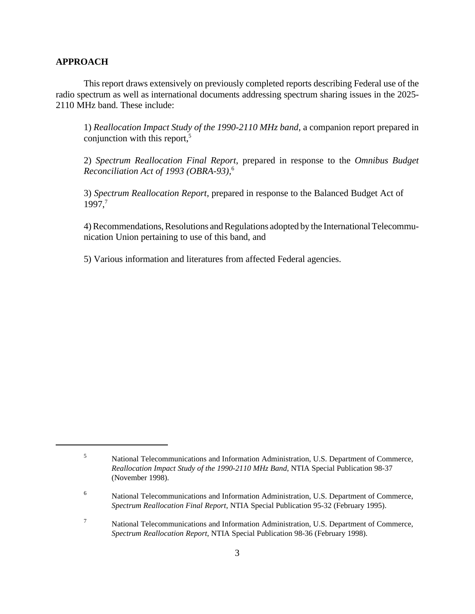# **APPROACH**

This report draws extensively on previously completed reports describing Federal use of the radio spectrum as well as international documents addressing spectrum sharing issues in the 2025- 2110 MHz band. These include:

1) *Reallocation Impact Study of the 1990-2110 MHz band*, a companion report prepared in conjunction with this report,<sup>5</sup>

2) *Spectrum Reallocation Final Report*, prepared in response to the *Omnibus Budget Reconciliation Act of 1993 (OBRA-93),*<sup>6</sup>

3) *Spectrum Reallocation Report*, prepared in response to the Balanced Budget Act of 1997.<sup>7</sup>

4) Recommendations, Resolutions and Regulations adopted by the International Telecommunication Union pertaining to use of this band, and

5) Various information and literatures from affected Federal agencies.

<sup>5</sup> National Telecommunications and Information Administration, U.S. Department of Commerce, *Reallocation Impact Study of the 1990-2110 MHz Band*, NTIA Special Publication 98-37 (November 1998).

<sup>6</sup> National Telecommunications and Information Administration, U.S. Department of Commerce, *Spectrum Reallocation Final Report*, NTIA Special Publication 95-32 (February 1995).

<sup>7</sup> National Telecommunications and Information Administration, U.S. Department of Commerce, *Spectrum Reallocation Report*, NTIA Special Publication 98-36 (February 1998).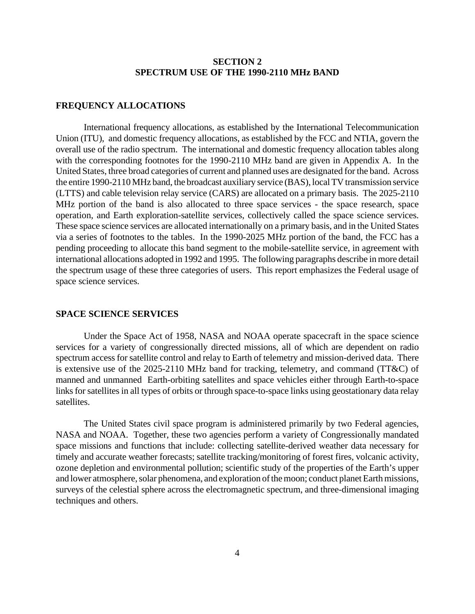# **SECTION 2 SPECTRUM USE OF THE 1990-2110 MHz BAND**

#### **FREQUENCY ALLOCATIONS**

International frequency allocations, as established by the International Telecommunication Union (ITU), and domestic frequency allocations, as established by the FCC and NTIA, govern the overall use of the radio spectrum. The international and domestic frequency allocation tables along with the corresponding footnotes for the 1990-2110 MHz band are given in Appendix A. In the United States, three broad categories of current and planned uses are designated for the band. Across the entire 1990-2110 MHz band, the broadcast auxiliary service (BAS), local TV transmission service (LTTS) and cable television relay service (CARS) are allocated on a primary basis. The 2025-2110 MHz portion of the band is also allocated to three space services - the space research, space operation, and Earth exploration-satellite services, collectively called the space science services. These space science services are allocated internationally on a primary basis, and in the United States via a series of footnotes to the tables. In the 1990-2025 MHz portion of the band, the FCC has a pending proceeding to allocate this band segment to the mobile-satellite service, in agreement with international allocations adopted in 1992 and 1995. The following paragraphs describe in more detail the spectrum usage of these three categories of users. This report emphasizes the Federal usage of space science services.

# **SPACE SCIENCE SERVICES**

Under the Space Act of 1958, NASA and NOAA operate spacecraft in the space science services for a variety of congressionally directed missions, all of which are dependent on radio spectrum access for satellite control and relay to Earth of telemetry and mission-derived data. There is extensive use of the 2025-2110 MHz band for tracking, telemetry, and command (TT&C) of manned and unmanned Earth-orbiting satellites and space vehicles either through Earth-to-space links for satellites in all types of orbits or through space-to-space links using geostationary data relay satellites.

The United States civil space program is administered primarily by two Federal agencies, NASA and NOAA. Together, these two agencies perform a variety of Congressionally mandated space missions and functions that include: collecting satellite-derived weather data necessary for timely and accurate weather forecasts; satellite tracking/monitoring of forest fires, volcanic activity, ozone depletion and environmental pollution; scientific study of the properties of the Earth's upper and lower atmosphere, solar phenomena, and exploration of the moon; conduct planet Earth missions, surveys of the celestial sphere across the electromagnetic spectrum, and three-dimensional imaging techniques and others.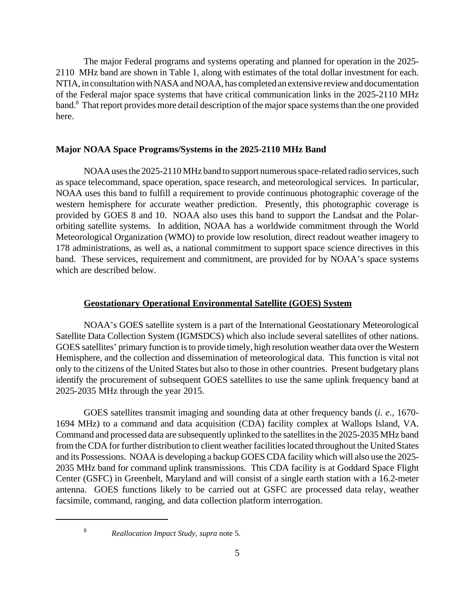The major Federal programs and systems operating and planned for operation in the 2025- 2110 MHz band are shown in Table 1, along with estimates of the total dollar investment for each. NTIA, in consultation with NASA and NOAA, has completed an extensive review and documentation of the Federal major space systems that have critical communication links in the 2025-2110 MHz band.<sup>8</sup> That report provides more detail description of the major space systems than the one provided here.

# **Major NOAA Space Programs/Systems in the 2025-2110 MHz Band**

NOAA uses the 2025-2110 MHz band to support numerous space-related radio services, such as space telecommand, space operation, space research, and meteorological services. In particular, NOAA uses this band to fulfill a requirement to provide continuous photographic coverage of the western hemisphere for accurate weather prediction. Presently, this photographic coverage is provided by GOES 8 and 10. NOAA also uses this band to support the Landsat and the Polarorbiting satellite systems. In addition, NOAA has a worldwide commitment through the World Meteorological Organization (WMO) to provide low resolution, direct readout weather imagery to 178 administrations, as well as, a national commitment to support space science directives in this band. These services, requirement and commitment, are provided for by NOAA's space systems which are described below.

## **Geostationary Operational Environmental Satellite (GOES) System**

NOAA's GOES satellite system is a part of the International Geostationary Meteorological Satellite Data Collection System (IGMSDCS) which also include several satellites of other nations. GOES satellites' primary function is to provide timely, high resolution weather data over the Western Hemisphere, and the collection and dissemination of meteorological data. This function is vital not only to the citizens of the United States but also to those in other countries. Present budgetary plans identify the procurement of subsequent GOES satellites to use the same uplink frequency band at 2025-2035 MHz through the year 2015.

GOES satellites transmit imaging and sounding data at other frequency bands (*i. e*., 1670- 1694 MHz) to a command and data acquisition (CDA) facility complex at Wallops Island, VA. Command and processed data are subsequently uplinked to the satellites in the 2025-2035 MHz band from the CDA for further distribution to client weather facilities located throughout the United States and its Possessions. NOAA is developing a backup GOES CDA facility which will also use the 2025- 2035 MHz band for command uplink transmissions. This CDA facility is at Goddard Space Flight Center (GSFC) in Greenbelt, Maryland and will consist of a single earth station with a 16.2-meter antenna. GOES functions likely to be carried out at GSFC are processed data relay, weather facsimile, command, ranging, and data collection platform interrogation.

8

*Reallocation Impact Study*, *supra* note 5.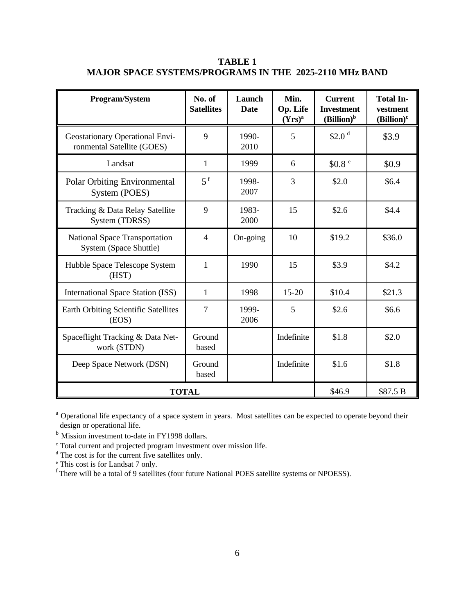| Program/System                                                       | No. of<br><b>Satellites</b> | Launch<br>Date | Min.<br>Op. Life<br>$(Yrs)^a$ | <b>Current</b><br><b>Investment</b><br>$(Billion)^b$ | <b>Total In-</b><br>vestment<br>$(Billion)^c$ |
|----------------------------------------------------------------------|-----------------------------|----------------|-------------------------------|------------------------------------------------------|-----------------------------------------------|
| <b>Geostationary Operational Envi-</b><br>ronmental Satellite (GOES) | 9                           | 1990-<br>2010  | 5                             | \$2.0 <sup>d</sup>                                   | \$3.9                                         |
| Landsat                                                              | $\mathbf{1}$                | 1999           | 6                             | \$0.8 <sup>e</sup>                                   | \$0.9                                         |
| <b>Polar Orbiting Environmental</b><br>System (POES)                 | $5^{\text{f}}$              | 1998-<br>2007  | 3                             | \$2.0                                                | \$6.4                                         |
| Tracking & Data Relay Satellite<br>System (TDRSS)                    | 9                           | 1983-<br>2000  | 15                            | \$2.6                                                | \$4.4                                         |
| National Space Transportation<br>System (Space Shuttle)              | $\overline{4}$              | On-going       | 10                            | \$19.2                                               | \$36.0                                        |
| Hubble Space Telescope System<br>(HST)                               | $\mathbf{1}$                | 1990           | 15                            | \$3.9                                                | \$4.2                                         |
| International Space Station (ISS)                                    | $\mathbf{1}$                | 1998           | $15 - 20$                     | \$10.4                                               | \$21.3                                        |
| Earth Orbiting Scientific Satellites<br>(EOS)                        | $\overline{7}$              | 1999-<br>2006  | 5                             | \$2.6                                                | \$6.6                                         |
| Spaceflight Tracking & Data Net-<br>work (STDN)                      | Ground<br>based             |                | Indefinite                    | \$1.8                                                | \$2.0                                         |
| Deep Space Network (DSN)                                             | Ground<br>based             |                | Indefinite                    | \$1.6                                                | \$1.8                                         |
| <b>TOTAL</b>                                                         | \$46.9                      | \$87.5 B       |                               |                                                      |                                               |

**TABLE 1 MAJOR SPACE SYSTEMS/PROGRAMS IN THE 2025-2110 MHz BAND**

<sup>a</sup> Operational life expectancy of a space system in years. Most satellites can be expected to operate beyond their design or operational life.

b Mission investment to-date in FY1998 dollars.

c Total current and projected program investment over mission life. d The cost is for the current five satellites only.

e This cost is for Landsat 7 only.

<sup>f</sup> There will be a total of 9 satellites (four future National POES satellite systems or NPOESS).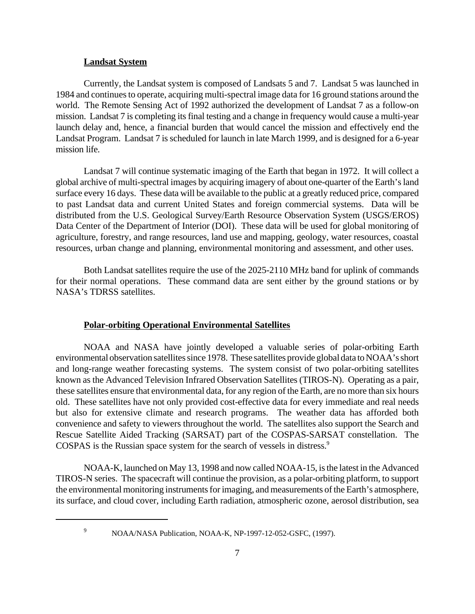#### **Landsat System**

Currently, the Landsat system is composed of Landsats 5 and 7. Landsat 5 was launched in 1984 and continues to operate, acquiring multi-spectral image data for 16 ground stations around the world. The Remote Sensing Act of 1992 authorized the development of Landsat 7 as a follow-on mission. Landsat 7 is completing its final testing and a change in frequency would cause a multi-year launch delay and, hence, a financial burden that would cancel the mission and effectively end the Landsat Program. Landsat 7 is scheduled for launch in late March 1999, and is designed for a 6-year mission life.

Landsat 7 will continue systematic imaging of the Earth that began in 1972. It will collect a global archive of multi-spectral images by acquiring imagery of about one-quarter of the Earth's land surface every 16 days. These data will be available to the public at a greatly reduced price, compared to past Landsat data and current United States and foreign commercial systems. Data will be distributed from the U.S. Geological Survey/Earth Resource Observation System (USGS/EROS) Data Center of the Department of Interior (DOI). These data will be used for global monitoring of agriculture, forestry, and range resources, land use and mapping, geology, water resources, coastal resources, urban change and planning, environmental monitoring and assessment, and other uses.

Both Landsat satellites require the use of the 2025-2110 MHz band for uplink of commands for their normal operations. These command data are sent either by the ground stations or by NASA's TDRSS satellites.

### **Polar-orbiting Operational Environmental Satellites**

NOAA and NASA have jointly developed a valuable series of polar-orbiting Earth environmental observation satellites since 1978. These satellites provide global data to NOAA's short and long-range weather forecasting systems. The system consist of two polar-orbiting satellites known as the Advanced Television Infrared Observation Satellites (TIROS-N). Operating as a pair, these satellites ensure that environmental data, for any region of the Earth, are no more than six hours old. These satellites have not only provided cost-effective data for every immediate and real needs but also for extensive climate and research programs. The weather data has afforded both convenience and safety to viewers throughout the world. The satellites also support the Search and Rescue Satellite Aided Tracking (SARSAT) part of the COSPAS-SARSAT constellation. The COSPAS is the Russian space system for the search of vessels in distress.<sup>9</sup>

NOAA-K, launched on May 13, 1998 and now called NOAA-15, is the latest in the Advanced TIROS-N series. The spacecraft will continue the provision, as a polar-orbiting platform, to support the environmental monitoring instruments for imaging, and measurements of the Earth's atmosphere, its surface, and cloud cover, including Earth radiation, atmospheric ozone, aerosol distribution, sea

<sup>&</sup>lt;sup>9</sup> NOAA/NASA Publication, NOAA-K, NP-1997-12-052-GSFC, (1997).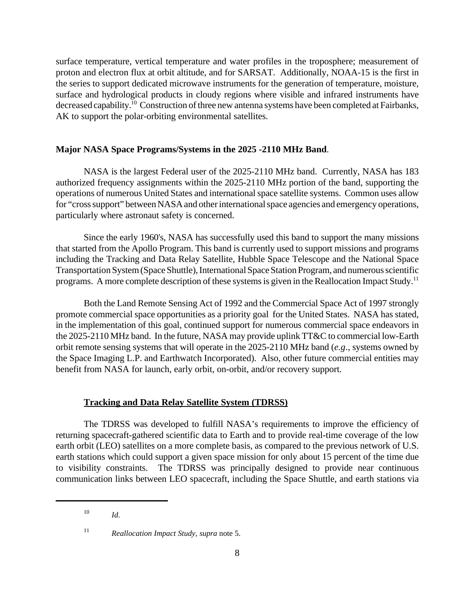surface temperature, vertical temperature and water profiles in the troposphere; measurement of proton and electron flux at orbit altitude, and for SARSAT. Additionally, NOAA-15 is the first in the series to support dedicated microwave instruments for the generation of temperature, moisture, surface and hydrological products in cloudy regions where visible and infrared instruments have decreased capability.<sup>10</sup> Construction of three new antenna systems have been completed at Fairbanks, AK to support the polar-orbiting environmental satellites.

# **Major NASA Space Programs/Systems in the 2025 -2110 MHz Band**.

NASA is the largest Federal user of the 2025-2110 MHz band. Currently, NASA has 183 authorized frequency assignments within the 2025-2110 MHz portion of the band, supporting the operations of numerous United States and international space satellite systems. Common uses allow for "cross support" between NASA and other international space agencies and emergency operations, particularly where astronaut safety is concerned.

Since the early 1960's, NASA has successfully used this band to support the many missions that started from the Apollo Program. This band is currently used to support missions and programs including the Tracking and Data Relay Satellite, Hubble Space Telescope and the National Space Transportation System (Space Shuttle), International Space Station Program, and numerous scientific programs. A more complete description of these systems is given in the Reallocation Impact Study.<sup>11</sup>

Both the Land Remote Sensing Act of 1992 and the Commercial Space Act of 1997 strongly promote commercial space opportunities as a priority goal for the United States. NASA has stated, in the implementation of this goal, continued support for numerous commercial space endeavors in the 2025-2110 MHz band. In the future, NASA may provide uplink TT&C to commercial low-Earth orbit remote sensing systems that will operate in the 2025-2110 MHz band (*e.g*., systems owned by the Space Imaging L.P. and Earthwatch Incorporated). Also, other future commercial entities may benefit from NASA for launch, early orbit, on-orbit, and/or recovery support.

# **Tracking and Data Relay Satellite System (TDRSS)**

The TDRSS was developed to fulfill NASA's requirements to improve the efficiency of returning spacecraft-gathered scientific data to Earth and to provide real-time coverage of the low earth orbit (LEO) satellites on a more complete basis, as compared to the previous network of U.S. earth stations which could support a given space mission for only about 15 percent of the time due to visibility constraints. The TDRSS was principally designed to provide near continuous communication links between LEO spacecraft, including the Space Shuttle, and earth stations via

<sup>10</sup> *Id.*

<sup>11</sup> *Reallocation Impact Study*, *supra* note 5.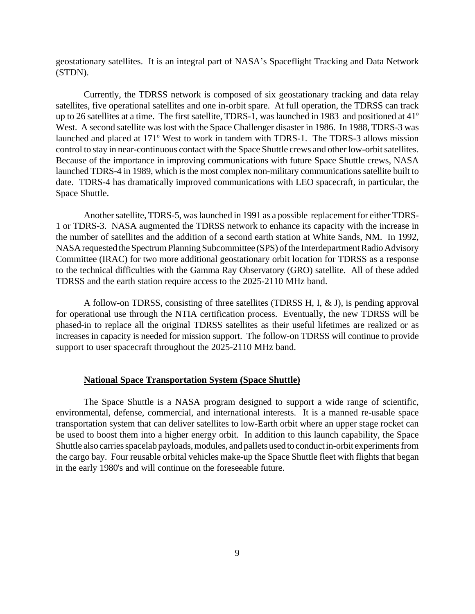geostationary satellites. It is an integral part of NASA's Spaceflight Tracking and Data Network (STDN).

Currently, the TDRSS network is composed of six geostationary tracking and data relay satellites, five operational satellites and one in-orbit spare. At full operation, the TDRSS can track up to 26 satellites at a time. The first satellite, TDRS-1, was launched in 1983 and positioned at  $41^{\circ}$ West. A second satellite was lost with the Space Challenger disaster in 1986. In 1988, TDRS-3 was launched and placed at 171° West to work in tandem with TDRS-1. The TDRS-3 allows mission control to stay in near-continuous contact with the Space Shuttle crews and other low-orbit satellites. Because of the importance in improving communications with future Space Shuttle crews, NASA launched TDRS-4 in 1989, which is the most complex non-military communications satellite built to date. TDRS-4 has dramatically improved communications with LEO spacecraft, in particular, the Space Shuttle.

Another satellite, TDRS-5, was launched in 1991 as a possible replacement for either TDRS-1 or TDRS-3. NASA augmented the TDRSS network to enhance its capacity with the increase in the number of satellites and the addition of a second earth station at White Sands, NM. In 1992, NASA requested the Spectrum Planning Subcommittee (SPS) of the Interdepartment Radio Advisory Committee (IRAC) for two more additional geostationary orbit location for TDRSS as a response to the technical difficulties with the Gamma Ray Observatory (GRO) satellite. All of these added TDRSS and the earth station require access to the 2025-2110 MHz band.

A follow-on TDRSS, consisting of three satellites (TDRSS H, I, & J), is pending approval for operational use through the NTIA certification process. Eventually, the new TDRSS will be phased-in to replace all the original TDRSS satellites as their useful lifetimes are realized or as increases in capacity is needed for mission support. The follow-on TDRSS will continue to provide support to user spacecraft throughout the 2025-2110 MHz band.

## **National Space Transportation System (Space Shuttle)**

The Space Shuttle is a NASA program designed to support a wide range of scientific, environmental, defense, commercial, and international interests. It is a manned re-usable space transportation system that can deliver satellites to low-Earth orbit where an upper stage rocket can be used to boost them into a higher energy orbit. In addition to this launch capability, the Space Shuttle also carries spacelab payloads, modules, and pallets used to conduct in-orbit experiments from the cargo bay. Four reusable orbital vehicles make-up the Space Shuttle fleet with flights that began in the early 1980's and will continue on the foreseeable future.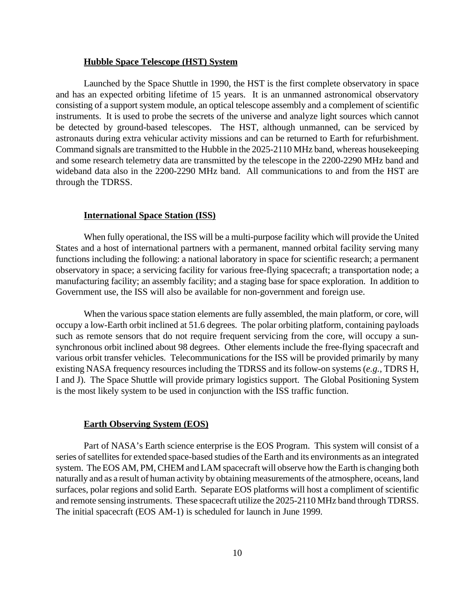#### **Hubble Space Telescope (HST) System**

Launched by the Space Shuttle in 1990, the HST is the first complete observatory in space and has an expected orbiting lifetime of 15 years. It is an unmanned astronomical observatory consisting of a support system module, an optical telescope assembly and a complement of scientific instruments. It is used to probe the secrets of the universe and analyze light sources which cannot be detected by ground-based telescopes. The HST, although unmanned, can be serviced by astronauts during extra vehicular activity missions and can be returned to Earth for refurbishment. Command signals are transmitted to the Hubble in the 2025-2110 MHz band, whereas housekeeping and some research telemetry data are transmitted by the telescope in the 2200-2290 MHz band and wideband data also in the 2200-2290 MHz band. All communications to and from the HST are through the TDRSS.

# **International Space Station (ISS)**

When fully operational, the ISS will be a multi-purpose facility which will provide the United States and a host of international partners with a permanent, manned orbital facility serving many functions including the following: a national laboratory in space for scientific research; a permanent observatory in space; a servicing facility for various free-flying spacecraft; a transportation node; a manufacturing facility; an assembly facility; and a staging base for space exploration. In addition to Government use, the ISS will also be available for non-government and foreign use.

When the various space station elements are fully assembled, the main platform, or core, will occupy a low-Earth orbit inclined at 51.6 degrees. The polar orbiting platform, containing payloads such as remote sensors that do not require frequent servicing from the core, will occupy a sunsynchronous orbit inclined about 98 degrees. Other elements include the free-flying spacecraft and various orbit transfer vehicles. Telecommunications for the ISS will be provided primarily by many existing NASA frequency resources including the TDRSS and its follow-on systems (*e.g.*, TDRS H, I and J). The Space Shuttle will provide primary logistics support. The Global Positioning System is the most likely system to be used in conjunction with the ISS traffic function.

### **Earth Observing System (EOS)**

Part of NASA's Earth science enterprise is the EOS Program. This system will consist of a series of satellites for extended space-based studies of the Earth and its environments as an integrated system. The EOS AM, PM, CHEM and LAM spacecraft will observe how the Earth is changing both naturally and as a result of human activity by obtaining measurements of the atmosphere, oceans, land surfaces, polar regions and solid Earth. Separate EOS platforms will host a compliment of scientific and remote sensing instruments. These spacecraft utilize the 2025-2110 MHz band through TDRSS. The initial spacecraft (EOS AM-1) is scheduled for launch in June 1999.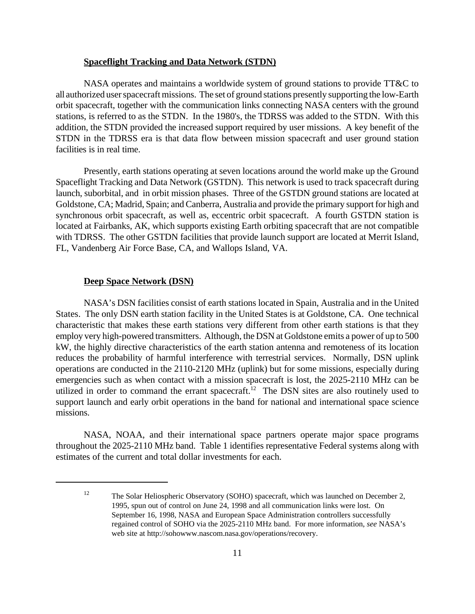# **Spaceflight Tracking and Data Network (STDN)**

NASA operates and maintains a worldwide system of ground stations to provide TT&C to all authorized user spacecraft missions. The set of ground stations presently supporting the low-Earth orbit spacecraft, together with the communication links connecting NASA centers with the ground stations, is referred to as the STDN. In the 1980's, the TDRSS was added to the STDN. With this addition, the STDN provided the increased support required by user missions. A key benefit of the STDN in the TDRSS era is that data flow between mission spacecraft and user ground station facilities is in real time.

Presently, earth stations operating at seven locations around the world make up the Ground Spaceflight Tracking and Data Network (GSTDN). This network is used to track spacecraft during launch, suborbital, and in orbit mission phases. Three of the GSTDN ground stations are located at Goldstone, CA; Madrid, Spain; and Canberra, Australia and provide the primary support for high and synchronous orbit spacecraft, as well as, eccentric orbit spacecraft. A fourth GSTDN station is located at Fairbanks, AK, which supports existing Earth orbiting spacecraft that are not compatible with TDRSS. The other GSTDN facilities that provide launch support are located at Merrit Island, FL, Vandenberg Air Force Base, CA, and Wallops Island, VA.

# **Deep Space Network (DSN)**

NASA's DSN facilities consist of earth stations located in Spain, Australia and in the United States. The only DSN earth station facility in the United States is at Goldstone, CA. One technical characteristic that makes these earth stations very different from other earth stations is that they employ very high-powered transmitters. Although, the DSN at Goldstone emits a power of up to 500 kW, the highly directive characteristics of the earth station antenna and remoteness of its location reduces the probability of harmful interference with terrestrial services. Normally, DSN uplink operations are conducted in the 2110-2120 MHz (uplink) but for some missions, especially during emergencies such as when contact with a mission spacecraft is lost, the 2025-2110 MHz can be utilized in order to command the errant spacecraft.<sup>12</sup> The DSN sites are also routinely used to support launch and early orbit operations in the band for national and international space science missions.

NASA, NOAA, and their international space partners operate major space programs throughout the 2025-2110 MHz band. Table 1 identifies representative Federal systems along with estimates of the current and total dollar investments for each.

<sup>&</sup>lt;sup>12</sup> The Solar Heliospheric Observatory (SOHO) spacecraft, which was launched on December 2, 1995, spun out of control on June 24, 1998 and all communication links were lost. On September 16, 1998, NASA and European Space Administration controllers successfully regained control of SOHO via the 2025-2110 MHz band. For more information, *see* NASA's web site at http://sohowww.nascom.nasa.gov/operations/recovery.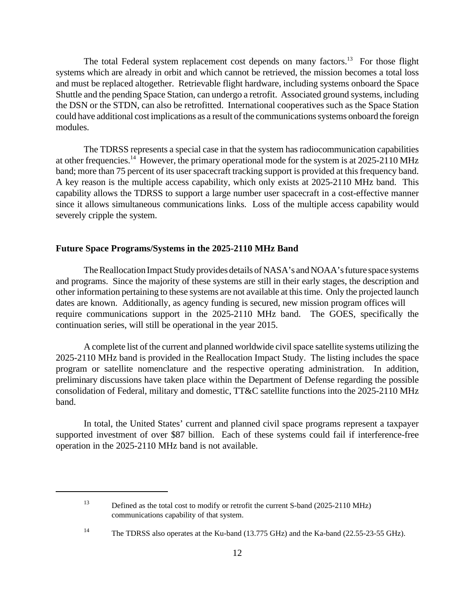The total Federal system replacement cost depends on many factors.<sup>13</sup> For those flight systems which are already in orbit and which cannot be retrieved, the mission becomes a total loss and must be replaced altogether. Retrievable flight hardware, including systems onboard the Space Shuttle and the pending Space Station, can undergo a retrofit. Associated ground systems, including the DSN or the STDN, can also be retrofitted. International cooperatives such as the Space Station could have additional cost implications as a result of the communications systems onboard the foreign modules.

The TDRSS represents a special case in that the system has radiocommunication capabilities at other frequencies.<sup>14</sup> However, the primary operational mode for the system is at 2025-2110 MHz band; more than 75 percent of its user spacecraft tracking support is provided at this frequency band. A key reason is the multiple access capability, which only exists at 2025-2110 MHz band. This capability allows the TDRSS to support a large number user spacecraft in a cost-effective manner since it allows simultaneous communications links. Loss of the multiple access capability would severely cripple the system.

# **Future Space Programs/Systems in the 2025-2110 MHz Band**

The Reallocation Impact Study provides details of NASA's and NOAA's future space systems and programs. Since the majority of these systems are still in their early stages, the description and other information pertaining to these systems are not available at this time. Only the projected launch dates are known. Additionally, as agency funding is secured, new mission program offices will require communications support in the 2025-2110 MHz band. The GOES, specifically the continuation series, will still be operational in the year 2015.

A complete list of the current and planned worldwide civil space satellite systems utilizing the 2025-2110 MHz band is provided in the Reallocation Impact Study. The listing includes the space program or satellite nomenclature and the respective operating administration. In addition, preliminary discussions have taken place within the Department of Defense regarding the possible consolidation of Federal, military and domestic, TT&C satellite functions into the 2025-2110 MHz band.

In total, the United States' current and planned civil space programs represent a taxpayer supported investment of over \$87 billion. Each of these systems could fail if interference-free operation in the 2025-2110 MHz band is not available.

<sup>&</sup>lt;sup>13</sup> Defined as the total cost to modify or retrofit the current S-band (2025-2110 MHz) communications capability of that system.

<sup>&</sup>lt;sup>14</sup> The TDRSS also operates at the Ku-band (13.775 GHz) and the Ka-band (22.55-23-55 GHz).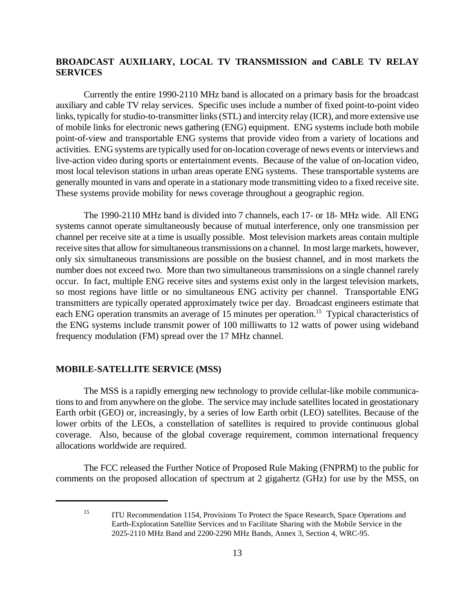# **BROADCAST AUXILIARY, LOCAL TV TRANSMISSION and CABLE TV RELAY SERVICES**

Currently the entire 1990-2110 MHz band is allocated on a primary basis for the broadcast auxiliary and cable TV relay services. Specific uses include a number of fixed point-to-point video links, typically for studio-to-transmitter links (STL) and intercity relay (ICR), and more extensive use of mobile links for electronic news gathering (ENG) equipment. ENG systems include both mobile point-of-view and transportable ENG systems that provide video from a variety of locations and activities. ENG systems are typically used for on-location coverage of news events or interviews and live-action video during sports or entertainment events. Because of the value of on-location video, most local televison stations in urban areas operate ENG systems. These transportable systems are generally mounted in vans and operate in a stationary mode transmitting video to a fixed receive site. These systems provide mobility for news coverage throughout a geographic region.

The 1990-2110 MHz band is divided into 7 channels, each 17- or 18- MHz wide. All ENG systems cannot operate simultaneously because of mutual interference, only one transmission per channel per receive site at a time is usually possible. Most television markets areas contain multiple receive sites that allow for simultaneous transmissions on a channel. In most large markets, however, only six simultaneous transmissions are possible on the busiest channel, and in most markets the number does not exceed two. More than two simultaneous transmissions on a single channel rarely occur. In fact, multiple ENG receive sites and systems exist only in the largest television markets, so most regions have little or no simultaneous ENG activity per channel. Transportable ENG transmitters are typically operated approximately twice per day. Broadcast engineers estimate that each ENG operation transmits an average of 15 minutes per operation.<sup>15</sup> Typical characteristics of the ENG systems include transmit power of 100 milliwatts to 12 watts of power using wideband frequency modulation (FM) spread over the 17 MHz channel.

# **MOBILE-SATELLITE SERVICE (MSS)**

The MSS is a rapidly emerging new technology to provide cellular-like mobile communications to and from anywhere on the globe. The service may include satellites located in geostationary Earth orbit (GEO) or, increasingly, by a series of low Earth orbit (LEO) satellites. Because of the lower orbits of the LEOs, a constellation of satellites is required to provide continuous global coverage. Also, because of the global coverage requirement, common international frequency allocations worldwide are required.

The FCC released the Further Notice of Proposed Rule Making (FNPRM) to the public for comments on the proposed allocation of spectrum at 2 gigahertz (GHz) for use by the MSS, on

<sup>&</sup>lt;sup>15</sup> ITU Recommendation 1154, Provisions To Protect the Space Research, Space Operations and Earth-Exploration Satellite Services and to Facilitate Sharing with the Mobile Service in the 2025-2110 MHz Band and 2200-2290 MHz Bands, Annex 3, Section 4, WRC-95.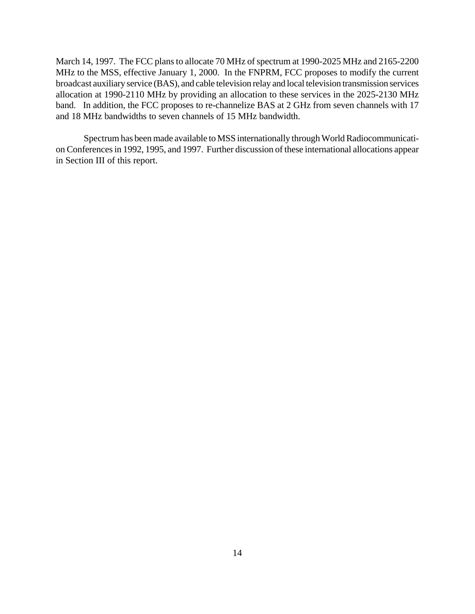March 14, 1997. The FCC plans to allocate 70 MHz of spectrum at 1990-2025 MHz and 2165-2200 MHz to the MSS, effective January 1, 2000. In the FNPRM, FCC proposes to modify the current broadcast auxiliary service (BAS), and cable television relay and local television transmission services allocation at 1990-2110 MHz by providing an allocation to these services in the 2025-2130 MHz band. In addition, the FCC proposes to re-channelize BAS at 2 GHz from seven channels with 17 and 18 MHz bandwidths to seven channels of 15 MHz bandwidth.

Spectrum has been made available to MSS internationally through World Radiocommunication Conferences in 1992, 1995, and 1997. Further discussion of these international allocations appear in Section III of this report.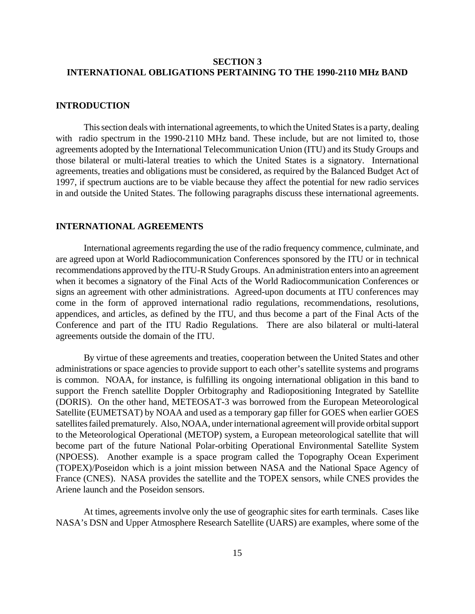# **SECTION 3 INTERNATIONAL OBLIGATIONS PERTAINING TO THE 1990-2110 MHz BAND**

#### **INTRODUCTION**

This section deals with international agreements, to which the United States is a party, dealing with radio spectrum in the 1990-2110 MHz band. These include, but are not limited to, those agreements adopted by the International Telecommunication Union (ITU) and its Study Groups and those bilateral or multi-lateral treaties to which the United States is a signatory. International agreements, treaties and obligations must be considered, as required by the Balanced Budget Act of 1997, if spectrum auctions are to be viable because they affect the potential for new radio services in and outside the United States. The following paragraphs discuss these international agreements.

# **INTERNATIONAL AGREEMENTS**

International agreements regarding the use of the radio frequency commence, culminate, and are agreed upon at World Radiocommunication Conferences sponsored by the ITU or in technical recommendations approved by the ITU-R Study Groups. An administration enters into an agreement when it becomes a signatory of the Final Acts of the World Radiocommunication Conferences or signs an agreement with other administrations. Agreed-upon documents at ITU conferences may come in the form of approved international radio regulations, recommendations, resolutions, appendices, and articles, as defined by the ITU, and thus become a part of the Final Acts of the Conference and part of the ITU Radio Regulations. There are also bilateral or multi-lateral agreements outside the domain of the ITU.

By virtue of these agreements and treaties, cooperation between the United States and other administrations or space agencies to provide support to each other's satellite systems and programs is common. NOAA, for instance, is fulfilling its ongoing international obligation in this band to support the French satellite Doppler Orbitography and Radiopositioning Integrated by Satellite (DORIS). On the other hand, METEOSAT-3 was borrowed from the European Meteorological Satellite (EUMETSAT) by NOAA and used as a temporary gap filler for GOES when earlier GOES satellites failed prematurely. Also, NOAA, under international agreement will provide orbital support to the Meteorological Operational (METOP) system, a European meteorological satellite that will become part of the future National Polar-orbiting Operational Environmental Satellite System (NPOESS). Another example is a space program called the Topography Ocean Experiment (TOPEX)/Poseidon which is a joint mission between NASA and the National Space Agency of France (CNES). NASA provides the satellite and the TOPEX sensors, while CNES provides the Ariene launch and the Poseidon sensors.

At times, agreements involve only the use of geographic sites for earth terminals. Cases like NASA's DSN and Upper Atmosphere Research Satellite (UARS) are examples, where some of the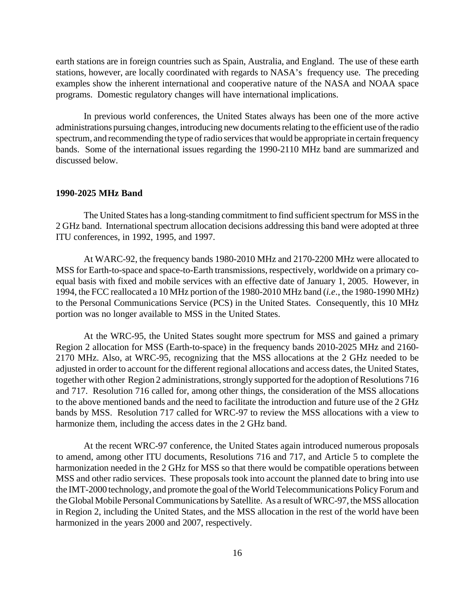earth stations are in foreign countries such as Spain, Australia, and England. The use of these earth stations, however, are locally coordinated with regards to NASA's frequency use. The preceding examples show the inherent international and cooperative nature of the NASA and NOAA space programs. Domestic regulatory changes will have international implications.

In previous world conferences, the United States always has been one of the more active administrations pursuing changes, introducing new documents relating to the efficient use of the radio spectrum, and recommending the type of radio services that would be appropriate in certain frequency bands. Some of the international issues regarding the 1990-2110 MHz band are summarized and discussed below.

### **1990-2025 MHz Band**

The United States has a long-standing commitment to find sufficient spectrum for MSS in the 2 GHz band. International spectrum allocation decisions addressing this band were adopted at three ITU conferences, in 1992, 1995, and 1997.

At WARC-92, the frequency bands 1980-2010 MHz and 2170-2200 MHz were allocated to MSS for Earth-to-space and space-to-Earth transmissions, respectively, worldwide on a primary coequal basis with fixed and mobile services with an effective date of January 1, 2005. However, in 1994, the FCC reallocated a 10 MHz portion of the 1980-2010 MHz band (*i.e*., the 1980-1990 MHz) to the Personal Communications Service (PCS) in the United States. Consequently, this 10 MHz portion was no longer available to MSS in the United States.

At the WRC-95, the United States sought more spectrum for MSS and gained a primary Region 2 allocation for MSS (Earth-to-space) in the frequency bands 2010-2025 MHz and 2160- 2170 MHz. Also, at WRC-95, recognizing that the MSS allocations at the 2 GHz needed to be adjusted in order to account for the different regional allocations and access dates, the United States, together with other Region 2 administrations, strongly supported for the adoption of Resolutions 716 and 717. Resolution 716 called for, among other things, the consideration of the MSS allocations to the above mentioned bands and the need to facilitate the introduction and future use of the 2 GHz bands by MSS. Resolution 717 called for WRC-97 to review the MSS allocations with a view to harmonize them, including the access dates in the 2 GHz band.

At the recent WRC-97 conference, the United States again introduced numerous proposals to amend, among other ITU documents, Resolutions 716 and 717, and Article 5 to complete the harmonization needed in the 2 GHz for MSS so that there would be compatible operations between MSS and other radio services. These proposals took into account the planned date to bring into use the IMT-2000 technology, and promote the goal of the World Telecommunications Policy Forum and the Global Mobile Personal Communications by Satellite. As a result of WRC-97, the MSS allocation in Region 2, including the United States, and the MSS allocation in the rest of the world have been harmonized in the years 2000 and 2007, respectively.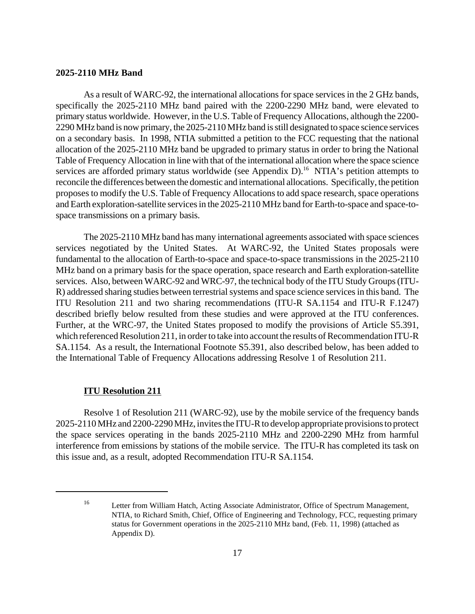## **2025-2110 MHz Band**

As a result of WARC-92, the international allocations for space services in the 2 GHz bands, specifically the 2025-2110 MHz band paired with the 2200-2290 MHz band, were elevated to primary status worldwide. However, in the U.S. Table of Frequency Allocations, although the 2200- 2290 MHz band is now primary, the 2025-2110 MHz band is still designated to space science services on a secondary basis. In 1998, NTIA submitted a petition to the FCC requesting that the national allocation of the 2025-2110 MHz band be upgraded to primary status in order to bring the National Table of Frequency Allocation in line with that of the international allocation where the space science services are afforded primary status worldwide (see Appendix D).<sup>16</sup> NTIA's petition attempts to reconcile the differences between the domestic and international allocations. Specifically, the petition proposes to modify the U.S. Table of Frequency Allocations to add space research, space operations and Earth exploration-satellite services in the 2025-2110 MHz band for Earth-to-space and space-tospace transmissions on a primary basis.

The 2025-2110 MHz band has many international agreements associated with space sciences services negotiated by the United States. At WARC-92, the United States proposals were fundamental to the allocation of Earth-to-space and space-to-space transmissions in the 2025-2110 MHz band on a primary basis for the space operation, space research and Earth exploration-satellite services. Also, between WARC-92 and WRC-97, the technical body of the ITU Study Groups (ITU-R) addressed sharing studies between terrestrial systems and space science services in this band. The ITU Resolution 211 and two sharing recommendations (ITU-R SA.1154 and ITU-R F.1247) described briefly below resulted from these studies and were approved at the ITU conferences. Further, at the WRC-97, the United States proposed to modify the provisions of Article S5.391, which referenced Resolution 211, in order to take into account the results of Recommendation ITU-R SA.1154. As a result, the International Footnote S5.391, also described below, has been added to the International Table of Frequency Allocations addressing Resolve 1 of Resolution 211.

#### **ITU Resolution 211**

Resolve 1 of Resolution 211 (WARC-92), use by the mobile service of the frequency bands 2025-2110 MHz and 2200-2290 MHz, invites the ITU-R to develop appropriate provisions to protect the space services operating in the bands 2025-2110 MHz and 2200-2290 MHz from harmful interference from emissions by stations of the mobile service. The ITU-R has completed its task on this issue and, as a result, adopted Recommendation ITU-R SA.1154.

<sup>&</sup>lt;sup>16</sup> Letter from William Hatch, Acting Associate Administrator, Office of Spectrum Management, NTIA, to Richard Smith, Chief, Office of Engineering and Technology, FCC, requesting primary status for Government operations in the 2025-2110 MHz band, (Feb. 11, 1998) (attached as Appendix D).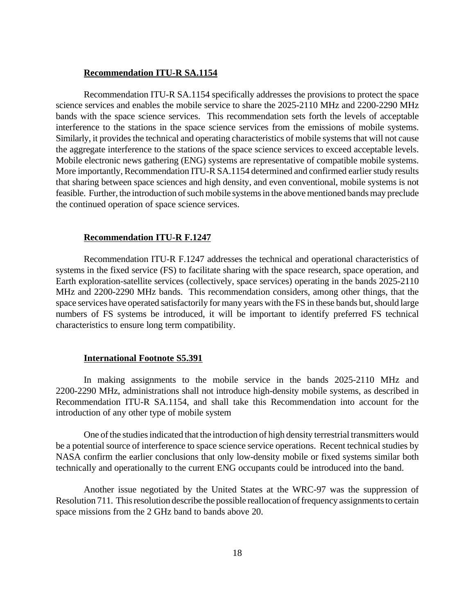## **Recommendation ITU-R SA.1154**

Recommendation ITU-R SA.1154 specifically addresses the provisions to protect the space science services and enables the mobile service to share the 2025-2110 MHz and 2200-2290 MHz bands with the space science services. This recommendation sets forth the levels of acceptable interference to the stations in the space science services from the emissions of mobile systems. Similarly, it provides the technical and operating characteristics of mobile systems that will not cause the aggregate interference to the stations of the space science services to exceed acceptable levels. Mobile electronic news gathering (ENG) systems are representative of compatible mobile systems. More importantly, Recommendation ITU-R SA.1154 determined and confirmed earlier study results that sharing between space sciences and high density, and even conventional, mobile systems is not feasible. Further, the introduction of such mobile systems in the above mentioned bands may preclude the continued operation of space science services.

#### **Recommendation ITU-R F.1247**

Recommendation ITU-R F.1247 addresses the technical and operational characteristics of systems in the fixed service (FS) to facilitate sharing with the space research, space operation, and Earth exploration-satellite services (collectively, space services) operating in the bands 2025-2110 MHz and 2200-2290 MHz bands. This recommendation considers, among other things, that the space services have operated satisfactorily for many years with the FS in these bands but, should large numbers of FS systems be introduced, it will be important to identify preferred FS technical characteristics to ensure long term compatibility.

## **International Footnote S5.391**

In making assignments to the mobile service in the bands 2025-2110 MHz and 2200-2290 MHz, administrations shall not introduce high-density mobile systems, as described in Recommendation ITU-R SA.1154, and shall take this Recommendation into account for the introduction of any other type of mobile system

One of the studies indicated that the introduction of high density terrestrial transmitters would be a potential source of interference to space science service operations. Recent technical studies by NASA confirm the earlier conclusions that only low-density mobile or fixed systems similar both technically and operationally to the current ENG occupants could be introduced into the band.

Another issue negotiated by the United States at the WRC-97 was the suppression of Resolution 711. This resolution describe the possible reallocation of frequency assignments to certain space missions from the 2 GHz band to bands above 20.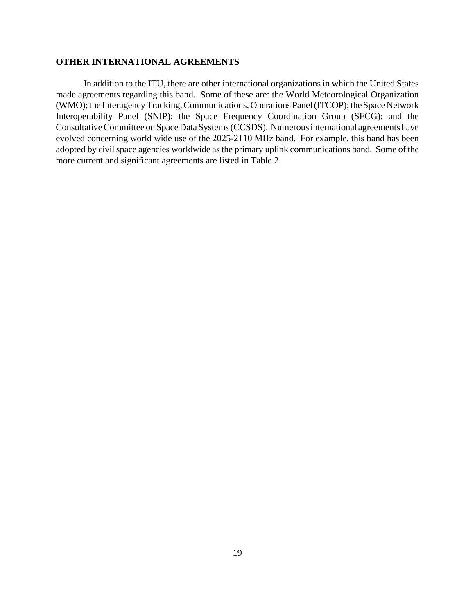# **OTHER INTERNATIONAL AGREEMENTS**

In addition to the ITU, there are other international organizations in which the United States made agreements regarding this band. Some of these are: the World Meteorological Organization (WMO); the Interagency Tracking, Communications, Operations Panel (ITCOP); the Space Network Interoperability Panel (SNIP); the Space Frequency Coordination Group (SFCG); and the Consultative Committee on Space Data Systems (CCSDS). Numerous international agreements have evolved concerning world wide use of the 2025-2110 MHz band. For example, this band has been adopted by civil space agencies worldwide as the primary uplink communications band. Some of the more current and significant agreements are listed in Table 2.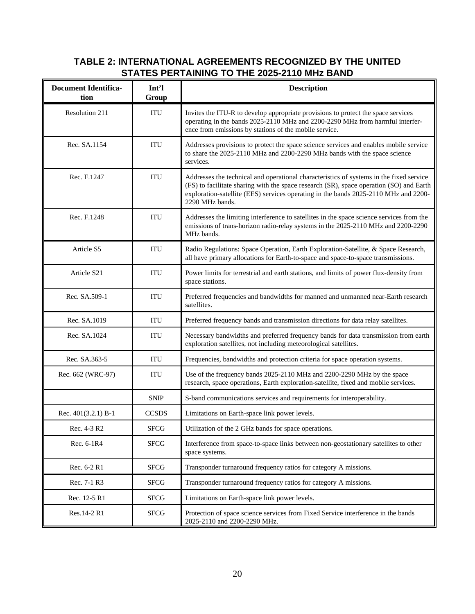# **TABLE 2: INTERNATIONAL AGREEMENTS RECOGNIZED BY THE UNITED STATES PERTAINING TO THE 2025-2110 MHz BAND**

| <b>Document Identifica-</b><br>tion | Int'l<br>Group | <b>Description</b>                                                                                                                                                                                                                                                                           |  |  |
|-------------------------------------|----------------|----------------------------------------------------------------------------------------------------------------------------------------------------------------------------------------------------------------------------------------------------------------------------------------------|--|--|
| Resolution 211                      | ITU            | Invites the ITU-R to develop appropriate provisions to protect the space services<br>operating in the bands 2025-2110 MHz and 2200-2290 MHz from harmful interfer-<br>ence from emissions by stations of the mobile service.                                                                 |  |  |
| Rec. SA.1154                        | <b>ITU</b>     | Addresses provisions to protect the space science services and enables mobile service<br>to share the 2025-2110 MHz and 2200-2290 MHz bands with the space science<br>services.                                                                                                              |  |  |
| Rec. F.1247                         | ITU            | Addresses the technical and operational characteristics of systems in the fixed service<br>(FS) to facilitate sharing with the space research (SR), space operation (SO) and Earth<br>exploration-satellite (EES) services operating in the bands 2025-2110 MHz and 2200-<br>2290 MHz bands. |  |  |
| Rec. F.1248                         | ITU            | Addresses the limiting interference to satellites in the space science services from the<br>emissions of trans-horizon radio-relay systems in the 2025-2110 MHz and 2200-2290<br>MHz bands.                                                                                                  |  |  |
| Article S5                          | ITU            | Radio Regulations: Space Operation, Earth Exploration-Satellite, & Space Research,<br>all have primary allocations for Earth-to-space and space-to-space transmissions.                                                                                                                      |  |  |
| Article S21                         | ITU            | Power limits for terrestrial and earth stations, and limits of power flux-density from<br>space stations.                                                                                                                                                                                    |  |  |
| Rec. SA.509-1                       | <b>ITU</b>     | Preferred frequencies and bandwidths for manned and unmanned near-Earth research<br>satellites.                                                                                                                                                                                              |  |  |
| Rec. SA.1019                        | ITU            | Preferred frequency bands and transmission directions for data relay satellites.                                                                                                                                                                                                             |  |  |
| Rec. SA.1024                        | <b>ITU</b>     | Necessary bandwidths and preferred frequency bands for data transmission from earth<br>exploration satellites, not including meteorological satellites.                                                                                                                                      |  |  |
| Rec. SA.363-5                       | <b>ITU</b>     | Frequencies, bandwidths and protection criteria for space operation systems.                                                                                                                                                                                                                 |  |  |
| Rec. 662 (WRC-97)                   | <b>ITU</b>     | Use of the frequency bands 2025-2110 MHz and 2200-2290 MHz by the space<br>research, space operations, Earth exploration-satellite, fixed and mobile services.                                                                                                                               |  |  |
|                                     | <b>SNIP</b>    | S-band communications services and requirements for interoperability.                                                                                                                                                                                                                        |  |  |
| Rec. $401(3.2.1)$ B-1               | <b>CCSDS</b>   | Limitations on Earth-space link power levels.                                                                                                                                                                                                                                                |  |  |
| Rec. 4-3 R2                         | <b>SFCG</b>    | Utilization of the 2 GHz bands for space operations.                                                                                                                                                                                                                                         |  |  |
| Rec. 6-1R4                          | <b>SFCG</b>    | Interference from space-to-space links between non-geostationary satellites to other<br>space systems.                                                                                                                                                                                       |  |  |
| Rec. 6-2 R1                         | <b>SFCG</b>    | Transponder turnaround frequency ratios for category A missions.                                                                                                                                                                                                                             |  |  |
| Rec. 7-1 R3                         | <b>SFCG</b>    | Transponder turnaround frequency ratios for category A missions.                                                                                                                                                                                                                             |  |  |
| Rec. 12-5 R1                        | <b>SFCG</b>    | Limitations on Earth-space link power levels.                                                                                                                                                                                                                                                |  |  |
| Res.14-2 R1                         | <b>SFCG</b>    | Protection of space science services from Fixed Service interference in the bands<br>2025-2110 and 2200-2290 MHz.                                                                                                                                                                            |  |  |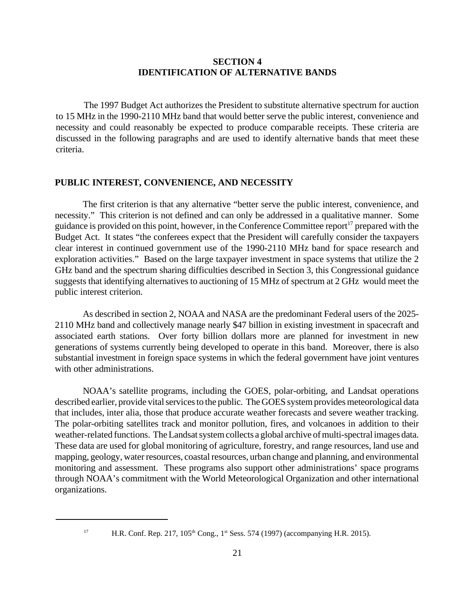# **SECTION 4 IDENTIFICATION OF ALTERNATIVE BANDS**

The 1997 Budget Act authorizes the President to substitute alternative spectrum for auction to 15 MHz in the 1990-2110 MHz band that would better serve the public interest, convenience and necessity and could reasonably be expected to produce comparable receipts. These criteria are discussed in the following paragraphs and are used to identify alternative bands that meet these criteria.

# **PUBLIC INTEREST, CONVENIENCE, AND NECESSITY**

The first criterion is that any alternative "better serve the public interest, convenience, and necessity." This criterion is not defined and can only be addressed in a qualitative manner. Some guidance is provided on this point, however, in the Conference Committee report<sup>17</sup> prepared with the Budget Act. It states "the conferees expect that the President will carefully consider the taxpayers clear interest in continued government use of the 1990-2110 MHz band for space research and exploration activities." Based on the large taxpayer investment in space systems that utilize the 2 GHz band and the spectrum sharing difficulties described in Section 3, this Congressional guidance suggests that identifying alternatives to auctioning of 15 MHz of spectrum at 2 GHz would meet the public interest criterion.

As described in section 2, NOAA and NASA are the predominant Federal users of the 2025- 2110 MHz band and collectively manage nearly \$47 billion in existing investment in spacecraft and associated earth stations. Over forty billion dollars more are planned for investment in new generations of systems currently being developed to operate in this band. Moreover, there is also substantial investment in foreign space systems in which the federal government have joint ventures with other administrations.

NOAA's satellite programs, including the GOES, polar-orbiting, and Landsat operations described earlier, provide vital services to the public. The GOES system provides meteorological data that includes, inter alia, those that produce accurate weather forecasts and severe weather tracking. The polar-orbiting satellites track and monitor pollution, fires, and volcanoes in addition to their weather-related functions. The Landsat system collects a global archive of multi-spectral images data. These data are used for global monitoring of agriculture, forestry, and range resources, land use and mapping, geology, water resources, coastal resources, urban change and planning, and environmental monitoring and assessment. These programs also support other administrations' space programs through NOAA's commitment with the World Meteorological Organization and other international organizations.

<sup>&</sup>lt;sup>17</sup> H.R. Conf. Rep. 217, 105<sup>th</sup> Cong., 1<sup>st</sup> Sess. 574 (1997) (accompanying H.R. 2015).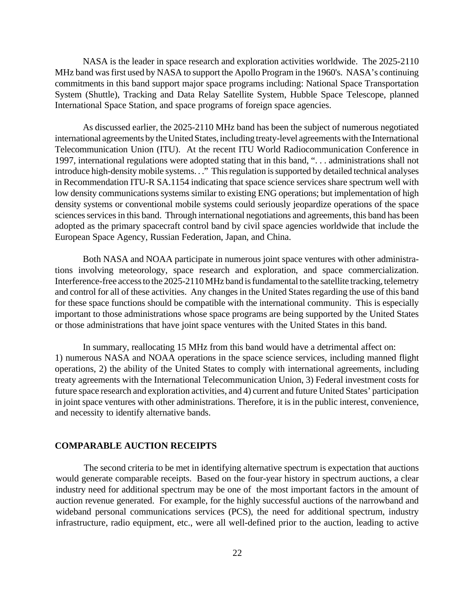NASA is the leader in space research and exploration activities worldwide. The 2025-2110 MHz band was first used by NASA to support the Apollo Program in the 1960's. NASA's continuing commitments in this band support major space programs including: National Space Transportation System (Shuttle), Tracking and Data Relay Satellite System, Hubble Space Telescope, planned International Space Station, and space programs of foreign space agencies.

As discussed earlier, the 2025-2110 MHz band has been the subject of numerous negotiated international agreements by the United States, including treaty-level agreements with the International Telecommunication Union (ITU). At the recent ITU World Radiocommunication Conference in 1997, international regulations were adopted stating that in this band, ". . . administrations shall not introduce high-density mobile systems. . ." This regulation is supported by detailed technical analyses in Recommendation ITU-R SA.1154 indicating that space science services share spectrum well with low density communications systems similar to existing ENG operations; but implementation of high density systems or conventional mobile systems could seriously jeopardize operations of the space sciences services in this band. Through international negotiations and agreements, this band has been adopted as the primary spacecraft control band by civil space agencies worldwide that include the European Space Agency, Russian Federation, Japan, and China.

Both NASA and NOAA participate in numerous joint space ventures with other administrations involving meteorology, space research and exploration, and space commercialization. Interference-free access to the 2025-2110 MHz band is fundamental to the satellite tracking, telemetry and control for all of these activities. Any changes in the United States regarding the use of this band for these space functions should be compatible with the international community. This is especially important to those administrations whose space programs are being supported by the United States or those administrations that have joint space ventures with the United States in this band.

In summary, reallocating 15 MHz from this band would have a detrimental affect on: 1) numerous NASA and NOAA operations in the space science services, including manned flight operations, 2) the ability of the United States to comply with international agreements, including treaty agreements with the International Telecommunication Union, 3) Federal investment costs for future space research and exploration activities, and 4) current and future United States' participation in joint space ventures with other administrations. Therefore, it is in the public interest, convenience, and necessity to identify alternative bands.

# **COMPARABLE AUCTION RECEIPTS**

The second criteria to be met in identifying alternative spectrum is expectation that auctions would generate comparable receipts. Based on the four-year history in spectrum auctions, a clear industry need for additional spectrum may be one of the most important factors in the amount of auction revenue generated. For example, for the highly successful auctions of the narrowband and wideband personal communications services (PCS), the need for additional spectrum, industry infrastructure, radio equipment, etc., were all well-defined prior to the auction, leading to active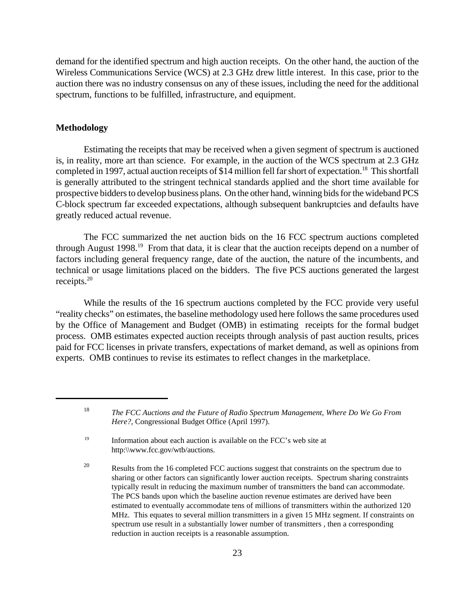demand for the identified spectrum and high auction receipts. On the other hand, the auction of the Wireless Communications Service (WCS) at 2.3 GHz drew little interest. In this case, prior to the auction there was no industry consensus on any of these issues, including the need for the additional spectrum, functions to be fulfilled, infrastructure, and equipment.

# **Methodology**

Estimating the receipts that may be received when a given segment of spectrum is auctioned is, in reality, more art than science. For example, in the auction of the WCS spectrum at 2.3 GHz completed in 1997, actual auction receipts of \$14 million fell far short of expectation.<sup>18</sup> This shortfall is generally attributed to the stringent technical standards applied and the short time available for prospective bidders to develop business plans. On the other hand, winning bids for the wideband PCS C-block spectrum far exceeded expectations, although subsequent bankruptcies and defaults have greatly reduced actual revenue.

The FCC summarized the net auction bids on the 16 FCC spectrum auctions completed through August 1998.<sup>19</sup> From that data, it is clear that the auction receipts depend on a number of factors including general frequency range, date of the auction, the nature of the incumbents, and technical or usage limitations placed on the bidders. The five PCS auctions generated the largest receipts.<sup>20</sup>

While the results of the 16 spectrum auctions completed by the FCC provide very useful "reality checks" on estimates, the baseline methodology used here follows the same procedures used by the Office of Management and Budget (OMB) in estimating receipts for the formal budget process. OMB estimates expected auction receipts through analysis of past auction results, prices paid for FCC licenses in private transfers, expectations of market demand, as well as opinions from experts. OMB continues to revise its estimates to reflect changes in the marketplace.

<sup>18</sup> *The FCC Auctions and the Future of Radio Spectrum Management, Where Do We Go From Here?*, Congressional Budget Office (April 1997).

<sup>&</sup>lt;sup>19</sup> Information about each auction is available on the FCC's web site at http:\\www.fcc.gov/wtb/auctions.

<sup>&</sup>lt;sup>20</sup> Results from the 16 completed FCC auctions suggest that constraints on the spectrum due to sharing or other factors can significantly lower auction receipts. Spectrum sharing constraints typically result in reducing the maximum number of transmitters the band can accommodate. The PCS bands upon which the baseline auction revenue estimates are derived have been estimated to eventually accommodate tens of millions of transmitters within the authorized 120 MHz. This equates to several million transmitters in a given 15 MHz segment. If constraints on spectrum use result in a substantially lower number of transmitters , then a corresponding reduction in auction receipts is a reasonable assumption.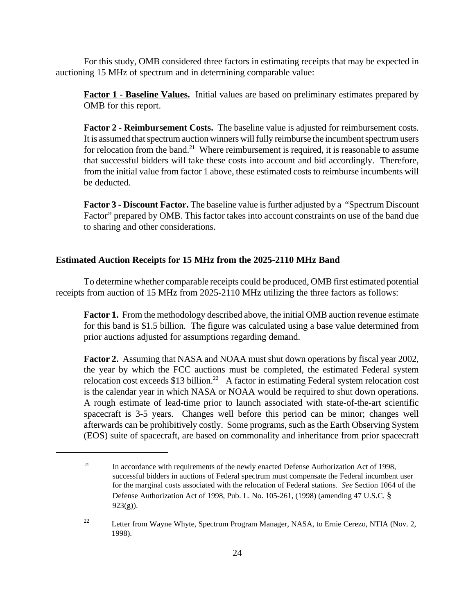For this study, OMB considered three factors in estimating receipts that may be expected in auctioning 15 MHz of spectrum and in determining comparable value:

**Factor 1** - **Baseline Values.** Initial values are based on preliminary estimates prepared by OMB for this report.

**Factor 2 - Reimbursement Costs.** The baseline value is adjusted for reimbursement costs. It is assumed that spectrum auction winners will fully reimburse the incumbent spectrum users for relocation from the band.<sup>21</sup> Where reimbursement is required, it is reasonable to assume that successful bidders will take these costs into account and bid accordingly. Therefore, from the initial value from factor 1 above, these estimated costs to reimburse incumbents will be deducted.

**Factor 3 - Discount Factor.** The baseline value is further adjusted by a "Spectrum Discount Factor" prepared by OMB. This factor takes into account constraints on use of the band due to sharing and other considerations.

# **Estimated Auction Receipts for 15 MHz from the 2025-2110 MHz Band**

To determine whether comparable receipts could be produced, OMB first estimated potential receipts from auction of 15 MHz from 2025-2110 MHz utilizing the three factors as follows:

**Factor 1.** From the methodology described above, the initial OMB auction revenue estimate for this band is \$1.5 billion. The figure was calculated using a base value determined from prior auctions adjusted for assumptions regarding demand.

**Factor 2.** Assuming that NASA and NOAA must shut down operations by fiscal year 2002, the year by which the FCC auctions must be completed, the estimated Federal system relocation cost exceeds \$13 billion.<sup>22</sup> A factor in estimating Federal system relocation cost is the calendar year in which NASA or NOAA would be required to shut down operations. A rough estimate of lead-time prior to launch associated with state-of-the-art scientific spacecraft is 3-5 years. Changes well before this period can be minor; changes well afterwards can be prohibitively costly. Some programs, such as the Earth Observing System (EOS) suite of spacecraft, are based on commonality and inheritance from prior spacecraft

<sup>&</sup>lt;sup>21</sup> In accordance with requirements of the newly enacted Defense Authorization Act of 1998, successful bidders in auctions of Federal spectrum must compensate the Federal incumbent user for the marginal costs associated with the relocation of Federal stations. *See* Section 1064 of the Defense Authorization Act of 1998, Pub. L. No. 105-261, (1998) (amending 47 U.S.C. §  $923(g)$ ).

<sup>&</sup>lt;sup>22</sup> Letter from Wayne Whyte, Spectrum Program Manager, NASA, to Ernie Cerezo, NTIA (Nov. 2, 1998).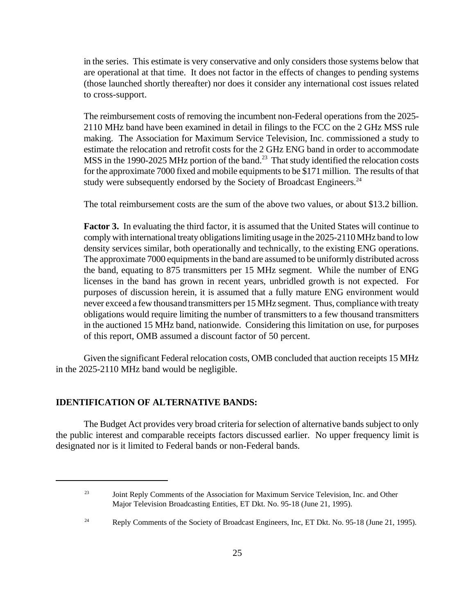in the series. This estimate is very conservative and only considers those systems below that are operational at that time. It does not factor in the effects of changes to pending systems (those launched shortly thereafter) nor does it consider any international cost issues related to cross-support.

The reimbursement costs of removing the incumbent non-Federal operations from the 2025- 2110 MHz band have been examined in detail in filings to the FCC on the 2 GHz MSS rule making. The Association for Maximum Service Television, Inc. commissioned a study to estimate the relocation and retrofit costs for the 2 GHz ENG band in order to accommodate MSS in the 1990-2025 MHz portion of the band.<sup>23</sup> That study identified the relocation costs for the approximate 7000 fixed and mobile equipments to be \$171 million. The results of that study were subsequently endorsed by the Society of Broadcast Engineers.<sup>24</sup>

The total reimbursement costs are the sum of the above two values, or about \$13.2 billion.

**Factor 3.** In evaluating the third factor, it is assumed that the United States will continue to comply with international treaty obligations limiting usage in the 2025-2110 MHz band to low density services similar, both operationally and technically, to the existing ENG operations. The approximate 7000 equipments in the band are assumed to be uniformly distributed across the band, equating to 875 transmitters per 15 MHz segment. While the number of ENG licenses in the band has grown in recent years, unbridled growth is not expected. For purposes of discussion herein, it is assumed that a fully mature ENG environment would never exceed a few thousand transmitters per 15 MHz segment. Thus, compliance with treaty obligations would require limiting the number of transmitters to a few thousand transmitters in the auctioned 15 MHz band, nationwide. Considering this limitation on use, for purposes of this report, OMB assumed a discount factor of 50 percent.

Given the significant Federal relocation costs, OMB concluded that auction receipts 15 MHz in the 2025-2110 MHz band would be negligible.

# **IDENTIFICATION OF ALTERNATIVE BANDS:**

The Budget Act provides very broad criteria for selection of alternative bands subject to only the public interest and comparable receipts factors discussed earlier. No upper frequency limit is designated nor is it limited to Federal bands or non-Federal bands.

<sup>24</sup> Reply Comments of the Society of Broadcast Engineers, Inc, ET Dkt. No. 95-18 (June 21, 1995).

<sup>&</sup>lt;sup>23</sup> Joint Reply Comments of the Association for Maximum Service Television, Inc. and Other Major Television Broadcasting Entities, ET Dkt. No. 95-18 (June 21, 1995).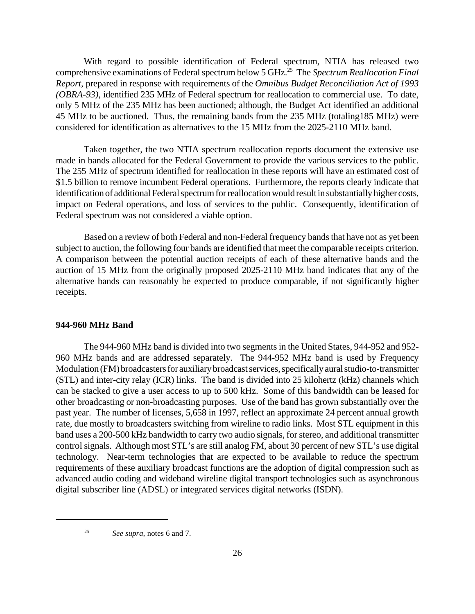With regard to possible identification of Federal spectrum, NTIA has released two comprehensive examinations of Federal spectrum below 5 GHz.<sup>25</sup> The *Spectrum Reallocation Final Report*, prepared in response with requirements of the *Omnibus Budget Reconciliation Act of 1993 (OBRA-93)*, identified 235 MHz of Federal spectrum for reallocation to commercial use. To date, only 5 MHz of the 235 MHz has been auctioned; although, the Budget Act identified an additional 45 MHz to be auctioned. Thus, the remaining bands from the 235 MHz (totaling185 MHz) were considered for identification as alternatives to the 15 MHz from the 2025-2110 MHz band.

Taken together, the two NTIA spectrum reallocation reports document the extensive use made in bands allocated for the Federal Government to provide the various services to the public. The 255 MHz of spectrum identified for reallocation in these reports will have an estimated cost of \$1.5 billion to remove incumbent Federal operations. Furthermore, the reports clearly indicate that identification of additional Federal spectrum for reallocation would result in substantially higher costs, impact on Federal operations, and loss of services to the public. Consequently, identification of Federal spectrum was not considered a viable option.

Based on a review of both Federal and non-Federal frequency bands that have not as yet been subject to auction, the following four bands are identified that meet the comparable receipts criterion. A comparison between the potential auction receipts of each of these alternative bands and the auction of 15 MHz from the originally proposed 2025-2110 MHz band indicates that any of the alternative bands can reasonably be expected to produce comparable, if not significantly higher receipts.

### **944-960 MHz Band**

The 944-960 MHz band is divided into two segments in the United States, 944-952 and 952- 960 MHz bands and are addressed separately. The 944-952 MHz band is used by Frequency Modulation (FM) broadcasters for auxiliary broadcast services, specifically aural studio-to-transmitter (STL) and inter-city relay (ICR) links. The band is divided into 25 kilohertz (kHz) channels which can be stacked to give a user access to up to 500 kHz. Some of this bandwidth can be leased for other broadcasting or non-broadcasting purposes. Use of the band has grown substantially over the past year. The number of licenses, 5,658 in 1997, reflect an approximate 24 percent annual growth rate, due mostly to broadcasters switching from wireline to radio links. Most STL equipment in this band uses a 200-500 kHz bandwidth to carry two audio signals, for stereo, and additional transmitter control signals. Although most STL's are still analog FM, about 30 percent of new STL's use digital technology. Near-term technologies that are expected to be available to reduce the spectrum requirements of these auxiliary broadcast functions are the adoption of digital compression such as advanced audio coding and wideband wireline digital transport technologies such as asynchronous digital subscriber line (ADSL) or integrated services digital networks (ISDN).

<sup>25</sup> *See supra,* notes 6 and 7.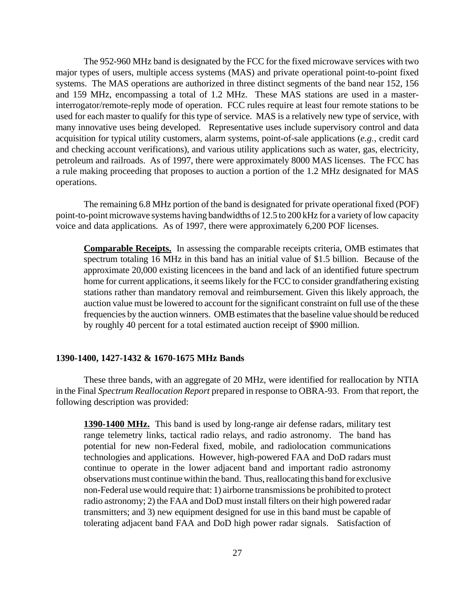The 952-960 MHz band is designated by the FCC for the fixed microwave services with two major types of users, multiple access systems (MAS) and private operational point-to-point fixed systems. The MAS operations are authorized in three distinct segments of the band near 152, 156 and 159 MHz, encompassing a total of 1.2 MHz. These MAS stations are used in a masterinterrogator/remote-reply mode of operation. FCC rules require at least four remote stations to be used for each master to qualify for this type of service. MAS is a relatively new type of service, with many innovative uses being developed. Representative uses include supervisory control and data acquisition for typical utility customers, alarm systems, point-of-sale applications (*e.g.,* credit card and checking account verifications), and various utility applications such as water, gas, electricity, petroleum and railroads. As of 1997, there were approximately 8000 MAS licenses. The FCC has a rule making proceeding that proposes to auction a portion of the 1.2 MHz designated for MAS operations.

The remaining 6.8 MHz portion of the band is designated for private operational fixed (POF) point-to-point microwave systems having bandwidths of 12.5 to 200 kHz for a variety of low capacity voice and data applications. As of 1997, there were approximately 6,200 POF licenses.

**Comparable Receipts.** In assessing the comparable receipts criteria, OMB estimates that spectrum totaling 16 MHz in this band has an initial value of \$1.5 billion. Because of the approximate 20,000 existing licencees in the band and lack of an identified future spectrum home for current applications, it seems likely for the FCC to consider grandfathering existing stations rather than mandatory removal and reimbursement. Given this likely approach, the auction value must be lowered to account for the significant constraint on full use of the these frequencies by the auction winners. OMB estimates that the baseline value should be reduced by roughly 40 percent for a total estimated auction receipt of \$900 million.

# **1390-1400, 1427-1432 & 1670-1675 MHz Bands**

These three bands, with an aggregate of 20 MHz, were identified for reallocation by NTIA in the Final *Spectrum Reallocation Report* prepared in response to OBRA-93. From that report, the following description was provided:

**1390-1400 MHz.** This band is used by long-range air defense radars, military test range telemetry links, tactical radio relays, and radio astronomy. The band has potential for new non-Federal fixed, mobile, and radiolocation communications technologies and applications. However, high-powered FAA and DoD radars must continue to operate in the lower adjacent band and important radio astronomy observations must continue within the band. Thus, reallocating this band for exclusive non-Federal use would require that: 1) airborne transmissions be prohibited to protect radio astronomy; 2) the FAA and DoD must install filters on their high powered radar transmitters; and 3) new equipment designed for use in this band must be capable of tolerating adjacent band FAA and DoD high power radar signals. Satisfaction of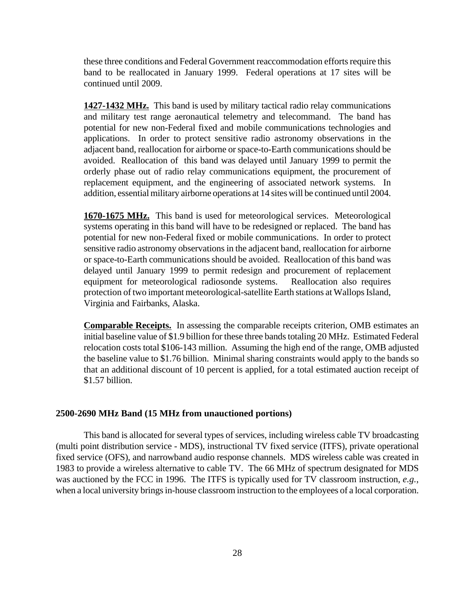these three conditions and Federal Government reaccommodation efforts require this band to be reallocated in January 1999. Federal operations at 17 sites will be continued until 2009.

**1427-1432 MHz.** This band is used by military tactical radio relay communications and military test range aeronautical telemetry and telecommand. The band has potential for new non-Federal fixed and mobile communications technologies and applications. In order to protect sensitive radio astronomy observations in the adjacent band, reallocation for airborne or space-to-Earth communications should be avoided. Reallocation of this band was delayed until January 1999 to permit the orderly phase out of radio relay communications equipment, the procurement of replacement equipment, and the engineering of associated network systems. In addition, essential military airborne operations at 14 sites will be continued until 2004.

**1670-1675 MHz.** This band is used for meteorological services. Meteorological systems operating in this band will have to be redesigned or replaced. The band has potential for new non-Federal fixed or mobile communications. In order to protect sensitive radio astronomy observations in the adjacent band, reallocation for airborne or space-to-Earth communications should be avoided. Reallocation of this band was delayed until January 1999 to permit redesign and procurement of replacement equipment for meteorological radiosonde systems. Reallocation also requires protection of two important meteorological-satellite Earth stations at Wallops Island, Virginia and Fairbanks, Alaska.

**Comparable Receipts.** In assessing the comparable receipts criterion, OMB estimates an initial baseline value of \$1.9 billion for these three bands totaling 20 MHz. Estimated Federal relocation costs total \$106-143 million. Assuming the high end of the range, OMB adjusted the baseline value to \$1.76 billion. Minimal sharing constraints would apply to the bands so that an additional discount of 10 percent is applied, for a total estimated auction receipt of \$1.57 billion.

# **2500-2690 MHz Band (15 MHz from unauctioned portions)**

This band is allocated for several types of services, including wireless cable TV broadcasting (multi point distribution service - MDS), instructional TV fixed service (ITFS), private operational fixed service (OFS), and narrowband audio response channels. MDS wireless cable was created in 1983 to provide a wireless alternative to cable TV. The 66 MHz of spectrum designated for MDS was auctioned by the FCC in 1996. The ITFS is typically used for TV classroom instruction, *e.g.*, when a local university brings in-house classroom instruction to the employees of a local corporation.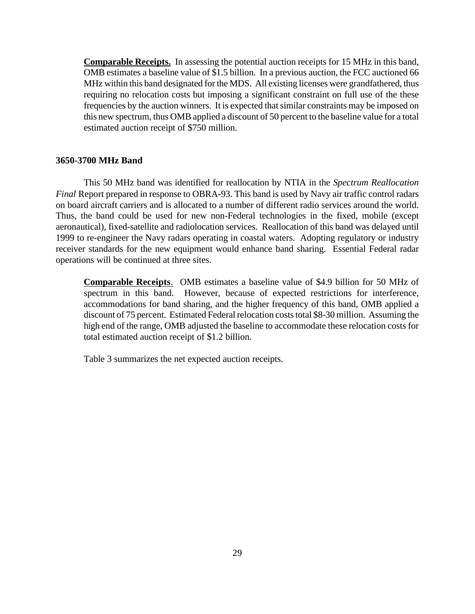**Comparable Receipts.** In assessing the potential auction receipts for 15 MHz in this band, OMB estimates a baseline value of \$1.5 billion. In a previous auction, the FCC auctioned 66 MHz within this band designated for the MDS. All existing licenses were grandfathered, thus requiring no relocation costs but imposing a significant constraint on full use of the these frequencies by the auction winners. It is expected that similar constraints may be imposed on this new spectrum, thus OMB applied a discount of 50 percent to the baseline value for a total estimated auction receipt of \$750 million.

#### **3650-3700 MHz Band**

This 50 MHz band was identified for reallocation by NTIA in the *Spectrum Reallocation Final* Report prepared in response to OBRA-93. This band is used by Navy air traffic control radars on board aircraft carriers and is allocated to a number of different radio services around the world. Thus, the band could be used for new non-Federal technologies in the fixed, mobile (except aeronautical), fixed-satellite and radiolocation services. Reallocation of this band was delayed until 1999 to re-engineer the Navy radars operating in coastal waters. Adopting regulatory or industry receiver standards for the new equipment would enhance band sharing. Essential Federal radar operations will be continued at three sites.

**Comparable Receipts**. OMB estimates a baseline value of \$4.9 billion for 50 MHz of spectrum in this band. However, because of expected restrictions for interference, accommodations for band sharing, and the higher frequency of this band, OMB applied a discount of 75 percent. Estimated Federal relocation costs total \$8-30 million. Assuming the high end of the range, OMB adjusted the baseline to accommodate these relocation costs for total estimated auction receipt of \$1.2 billion.

Table 3 summarizes the net expected auction receipts.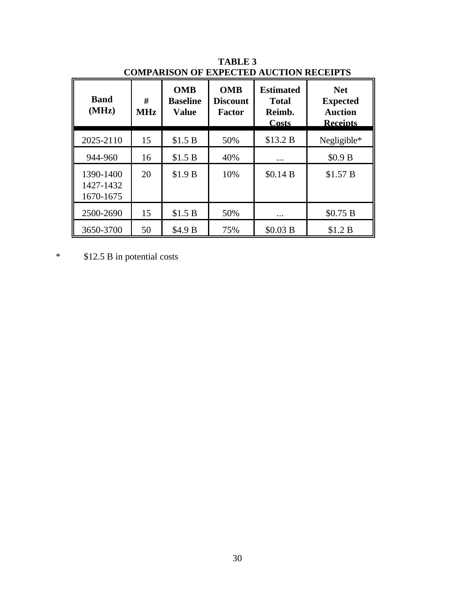| <b>Band</b><br>(MHz)                | #<br><b>MHz</b> | <b>OMB</b><br><b>Baseline</b><br><b>Value</b> | <b>OMB</b><br><b>Discount</b><br>Factor | <b>Estimated</b><br><b>Total</b><br>Reimb.<br>Costs | <b>Net</b><br><b>Expected</b><br><b>Auction</b><br><b>Receipts</b> |
|-------------------------------------|-----------------|-----------------------------------------------|-----------------------------------------|-----------------------------------------------------|--------------------------------------------------------------------|
| 2025-2110                           | 15              | \$1.5 B                                       | 50%                                     | \$13.2 B                                            | Negligible*                                                        |
| 944-960                             | 16              | \$1.5 B                                       | 40%                                     | $\cdots$                                            | \$0.9 B                                                            |
| 1390-1400<br>1427-1432<br>1670-1675 | 20              | \$1.9 B                                       | 10%                                     | \$0.14 B                                            | \$1.57 B                                                           |
| 2500-2690                           | 15              | \$1.5 B                                       | 50%                                     | $\cdots$                                            | \$0.75 B                                                           |
| 3650-3700                           | 50              | \$4.9 B                                       | 75%                                     | \$0.03 B                                            | \$1.2 B                                                            |

**TABLE 3 COMPARISON OF EXPECTED AUCTION RECEIPTS**

\* \$12.5 B in potential costs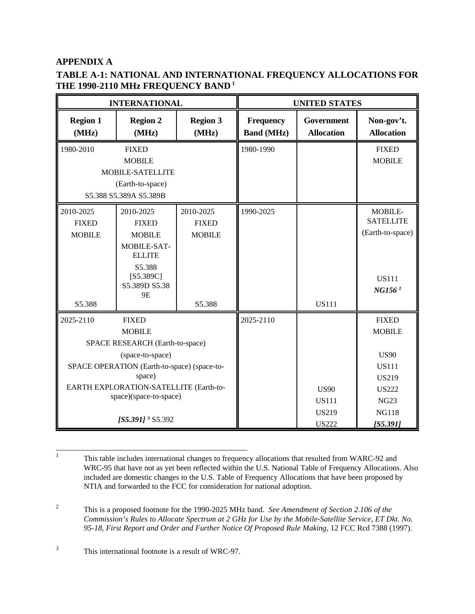# **APPENDIX A**

# **TABLE A-1: NATIONAL AND INTERNATIONAL FREQUENCY ALLOCATIONS FOR THE 1990-2110 MHz FREQUENCY BAND<sup>1</sup>**

| <b>INTERNATIONAL</b>                                                                                                                                                                                                                                           |                                                                                                                                    |                                                      | <b>UNITED STATES</b>                                        |                                                                                                                                         |                                                                                       |  |
|----------------------------------------------------------------------------------------------------------------------------------------------------------------------------------------------------------------------------------------------------------------|------------------------------------------------------------------------------------------------------------------------------------|------------------------------------------------------|-------------------------------------------------------------|-----------------------------------------------------------------------------------------------------------------------------------------|---------------------------------------------------------------------------------------|--|
| <b>Region 1</b><br>(MHz)                                                                                                                                                                                                                                       | <b>Region 2</b><br>(MHz)                                                                                                           | <b>Region 3</b><br>(MHz)                             | <b>Frequency</b><br><b>Band (MHz)</b>                       | Government<br><b>Allocation</b>                                                                                                         | Non-gov't.<br><b>Allocation</b>                                                       |  |
| 1980-2010                                                                                                                                                                                                                                                      | <b>FIXED</b><br><b>MOBILE</b><br>MOBILE-SATELLITE<br>(Earth-to-space)<br>S5.388 S5.389A S5.389B                                    |                                                      | 1980-1990                                                   |                                                                                                                                         | <b>FIXED</b><br><b>MOBILE</b>                                                         |  |
| 2010-2025<br><b>FIXED</b><br><b>MOBILE</b><br>S5.388                                                                                                                                                                                                           | 2010-2025<br><b>FIXED</b><br><b>MOBILE</b><br>MOBILE-SAT-<br><b>ELLITE</b><br>S5.388<br>$[$ 55.389C]<br>S5.389D S5.38<br><b>9E</b> | 2010-2025<br><b>FIXED</b><br><b>MOBILE</b><br>S5.388 | 1990-2025                                                   | <b>US111</b>                                                                                                                            | MOBILE-<br><b>SATELLITE</b><br>(Earth-to-space)<br><b>US111</b><br>NG156 <sup>2</sup> |  |
| 2025-2110<br><b>FIXED</b><br><b>MOBILE</b><br>SPACE RESEARCH (Earth-to-space)<br>(space-to-space)<br>SPACE OPERATION (Earth-to-space) (space-to-<br>space)<br>EARTH EXPLORATION-SATELLITE (Earth-to-<br>space)(space-to-space)<br>[S5.391] <sup>3</sup> S5.392 |                                                                                                                                    | 2025-2110                                            | <b>US90</b><br><b>US111</b><br><b>US219</b><br><b>US222</b> | <b>FIXED</b><br><b>MOBILE</b><br><b>US90</b><br><b>US111</b><br><b>US219</b><br><b>US222</b><br><b>NG23</b><br><b>NG118</b><br>[55.391] |                                                                                       |  |

<sup>1</sup> This table includes international changes to frequency allocations that resulted from WARC-92 and WRC-95 that have not as yet been reflected within the U.S. National Table of Frequency Allocations. Also included are domestic changes to the U.S. Table of Frequency Allocations that have been proposed by NTIA and forwarded to the FCC for consideration for national adoption.

\_\_\_\_\_\_\_\_\_\_\_\_\_\_\_\_\_\_\_\_\_\_\_\_\_\_\_\_\_\_\_\_\_\_\_\_\_\_\_\_\_\_\_\_\_\_\_\_\_

<sup>2</sup> This is a proposed footnote for the 1990-2025 MHz band. *See Amendment of Section 2.106 of the Commission's Rules to Allocate Spectrum at 2 GHz for Use by the Mobile-Satellite Service, ET Dkt. No. 95-18, First Report and Order and Further Notice Of Proposed Rule Making,* 12 FCC Rcd 7388 (1997).

<sup>3</sup> This international footnote is a result of WRC-97.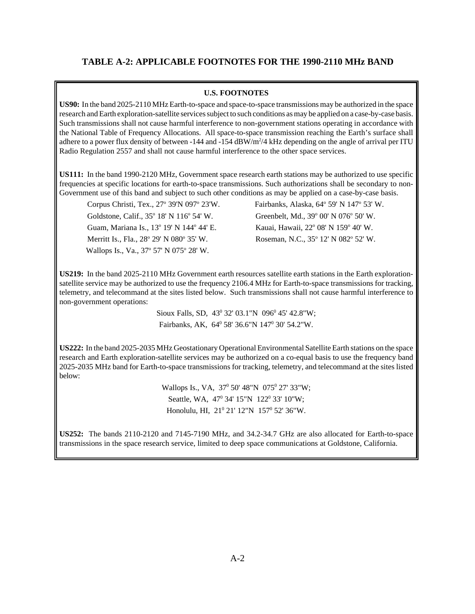# **TABLE A-2: APPLICABLE FOOTNOTES FOR THE 1990-2110 MHz BAND**

## **U.S. FOOTNOTES**

**US90:** In the band 2025-2110 MHz Earth-to-space and space-to-space transmissions may be authorized in the space research and Earth exploration-satellite services subject to such conditions as may be applied on a case-by-case basis. Such transmissions shall not cause harmful interference to non-government stations operating in accordance with the National Table of Frequency Allocations. All space-to-space transmission reaching the Earth's surface shall adhere to a power flux density of between -144 and -154 dBW/ $m^2/4$  kHz depending on the angle of arrival per ITU Radio Regulation 2557 and shall not cause harmful interference to the other space services.

**US111:** In the band 1990-2120 MHz, Government space research earth stations may be authorized to use specific frequencies at specific locations for earth-to-space transmissions. Such authorizations shall be secondary to non-Government use of this band and subject to such other conditions as may be applied on a case-by-case basis.

Corpus Christi, Tex., 27° 39'N 097° Goldstone, Calif., 35° 18' N 116° Guam, Mariana Is., 13º 19' N 144º Merritt Is., Fla., 28° 29' N 080° Wallops Is., Va., 37° 57' N 075° 28' W.

23'W. Fairbanks, Alaska, 64° 59' N 147° 53' W. 54' W. Greenbelt, Md., 39° 00' N 076° 50' W. 44' E. Kauai, Hawaii, 22° 08' N 159° 40' W. 35' W. Roseman, N.C., 35° 12' N 082° 52' W.

**US219:** In the band 2025-2110 MHz Government earth resources satellite earth stations in the Earth explorationsatellite service may be authorized to use the frequency 2106.4 MHz for Earth-to-space transmissions for tracking, telemetry, and telecommand at the sites listed below. Such transmissions shall not cause harmful interference to non-government operations:

> Sioux Falls, SD,  $43^{\circ}$  32' 03.1"N 096 $^{\circ}$ 45' 42.8"W; Fairbanks, AK,  $64^{\circ}$  58' 36.6"N 147<sup>°</sup> 30' 54.2"W.

**US222:** In the band 2025-2035 MHz Geostationary Operational Environmental Satellite Earth stations on the space research and Earth exploration-satellite services may be authorized on a co-equal basis to use the frequency band 2025-2035 MHz band for Earth-to-space transmissions for tracking, telemetry, and telecommand at the sites listed below:

> Wallops Is., VA, 37<sup>0</sup> 50' 48"N 075<sup>0</sup> 27' 33"W; Seattle, WA, 47<sup>0</sup> 34' 15"N 122<sup>0</sup> 33' 10"W; Honolulu, HI, 21<sup>0</sup> 21' 12"N 157<sup>0</sup> 52' 36"W.

**US252:** The bands 2110-2120 and 7145-7190 MHz, and 34.2-34.7 GHz are also allocated for Earth-to-space transmissions in the space research service, limited to deep space communications at Goldstone, California.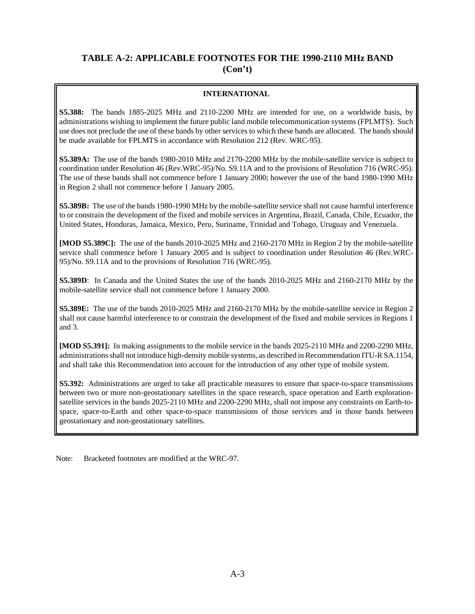# **TABLE A-2: APPLICABLE FOOTNOTES FOR THE 1990-2110 MHz BAND (Con't)**

# **INTERNATIONAL**

**S5.388:** The bands 1885-2025 MHz and 2110-2200 MHz are intended for use, on a worldwide basis, by administrations wishing to implement the future public land mobile telecommunication systems (FPLMTS). Such use does not preclude the use of these bands by other services to which these bands are allocated. The bands should be made available for FPLMTS in accordance with Resolution 212 (Rev. WRC-95).

**S5.389A:** The use of the bands 1980-2010 MHz and 2170-2200 MHz by the mobile-satellite service is subject to coordination under Resolution 46 (Rev.WRC-95)/No. S9.11A and to the provisions of Resolution 716 (WRC-95). The use of these bands shall not commence before 1 January 2000; however the use of the band 1980-1990 MHz in Region 2 shall not commence before 1 January 2005.

**S5.389B:** The use of the bands 1980-1990 MHz by the mobile-satellite service shall not cause harmful interference to or constrain the development of the fixed and mobile services in Argentina, Brazil, Canada, Chile, Ecuador, the United States, Honduras, Jamaica, Mexico, Peru, Suriname, Trinidad and Tobago, Uruguay and Venezuela.

**[MOD S5.389C]:** The use of the bands 2010-2025 MHz and 2160-2170 MHz in Region 2 by the mobile-satellite service shall commence before 1 January 2005 and is subject to coordination under Resolution 46 (Rev.WRC-95)/No. S9.11A and to the provisions of Resolution 716 (WRC-95).

**S5.389D**: In Canada and the United States the use of the bands 2010-2025 MHz and 2160-2170 MHz by the mobile-satellite service shall not commence before 1 January 2000.

**S5.389E:** The use of the bands 2010-2025 MHz and 2160-2170 MHz by the mobile-satellite service in Region 2 shall not cause harmful interference to or constrain the development of the fixed and mobile services in Regions 1 and 3.

**[MOD S5.391]:** In making assignments to the mobile service in the bands 2025-2110 MHz and 2200-2290 MHz, administrations shall not introduce high-density mobile systems, as described in Recommendation ITU-R SA.1154, and shall take this Recommendation into account for the introduction of any other type of mobile system.

**S5.392:** Administrations are urged to take all practicable measures to ensure that space-to-space transmissions between two or more non-geostationary satellites in the space research, space operation and Earth explorationsatellite services in the bands 2025-2110 MHz and 2200-2290 MHz, shall not impose any constraints on Earth-tospace, space-to-Earth and other space-to-space transmissions of those services and in those bands between geostationary and non-geostationary satellites.

Note: Bracketed footnotes are modified at the WRC-97.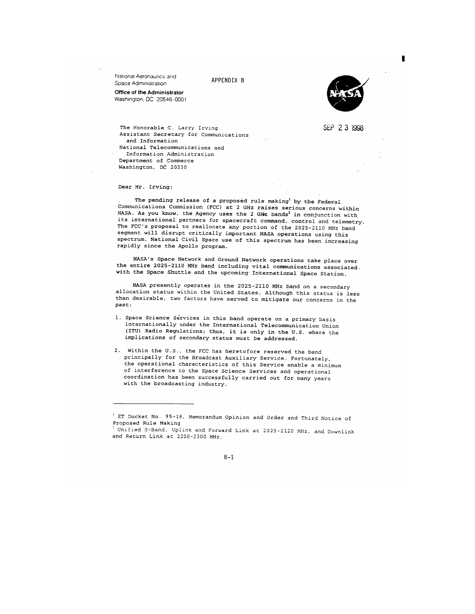National Aeronautics and Space Administration

APPENDIX B





SEP 2 3 1998

The Honorable C. Larry Irving Assistant Secretary for Communications and Information National Telecommunications and Information Administration Department of Commerce Washington, DC 20230

Dear Mr. Irving:

The pending release of a proposed rule making by the Federal Communications Commission (FCC) at 2 GHz raises serious concerns within NASA. As you know, the Agency uses the 2 GHz bands<sup>2</sup> in conjunction with its international partners for spacecraft command, control and telemetry. The FCC's proposal to reallocate any portion of the 2025-2110 MHz band segment will disrupt critically important NASA operations using this spectrum. National Civil Space use of this spectrum has been increasing rapidly since the Apollo program.

NASA's Space Network and Ground Network operations take place over the entire 2025-2110 MHz band including vital communications associated. with the Space Shuttle and the upcoming International Space Station.

NASA presently operates in the 2025-2110 MHz band on a secondary allocation status within the United States. Although this status is less than desirable, two factors have served to mitigate our concerns in the past:

- 1. Space Science Services in this band operate on a primary basis internationally under the International Telecommunication Union (ITU) Radio Regulations; thus, it is only in the U.S. where the implications of secondary status must be addressed.
- 2. Within the U.S., the FCC has heretofore reserved the band principally for the Broadcast Auxiliary Service. Fortunately, the operational characteristics of this Service enable a minimum of interference to the Space Science Services and operational coordination has been successfully carried out for many years with the broadcasting industry.

ET Docket No. 95-18, Memorandum Opinion and Order and Third Notice of Proposed Rule Making

Unified S-Band, Uplink and Forward Link at 2025-2120 MHz, and Downlink and Return Link at 2200-2300 MHz.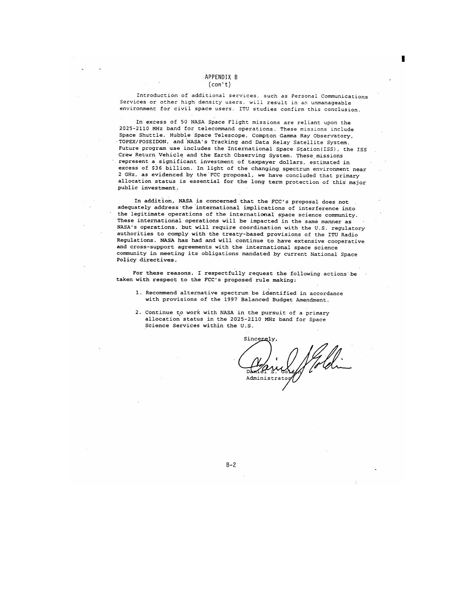Introduction of additional services, such as Personal Communications Services or other high density users, will result in an unmanageable environment for civil space users. ITU studies confirm this conclusion.

In excess of 50 NASA Space Flight missions are reliant upon the 2025-2110 MHz band for telecommand operations. These missions include Space Shuttle, Hubble Space Telescope, Compton Gamma Ray Observatory, TOPEX/POSEIDON, and NASA's Tracking and Data Relay Satellite System. Future program use includes the International Space Station (ISS), the ISS Crew Return Vehicle and the Earth Observing System. These missions represent a significant investment of taxpayer dollars, estimated in excess of \$36 billion. In light of the changing spectrum environment near 2 GHz, as evidenced by the FCC proposal, we have concluded that primary allocation status is essential for the long term protection of this major public investment.

In addition, NASA is concerned that the FCC's proposal does not adequately address the international implications of interference into the legitimate operations of the international space science community. These international operations will be impacted in the same manner as NASA's operations, but will require coordination with the U.S. regulatory authorities to comply with the treaty-based provisions of the ITU Radio Regulations. NASA has had and will continue to have extensive cooperative and cross-support agreements with the international space science community in meeting its obligations mandated by current National Space Policy directives.

For these reasons, I respectfully request the following actions be taken with respect to the FCC's proposed rule making:

- 1. Recommend alternative spectrum be identified in accordance with provisions of the 1997 Balanced Budget Amendment.
- 2. Continue to work with NASA in the pursuit of a primary allocation status in the 2025-2110 MHz band for Space Science Services within the U.S.

Sincerely Administrate

 $B - 2$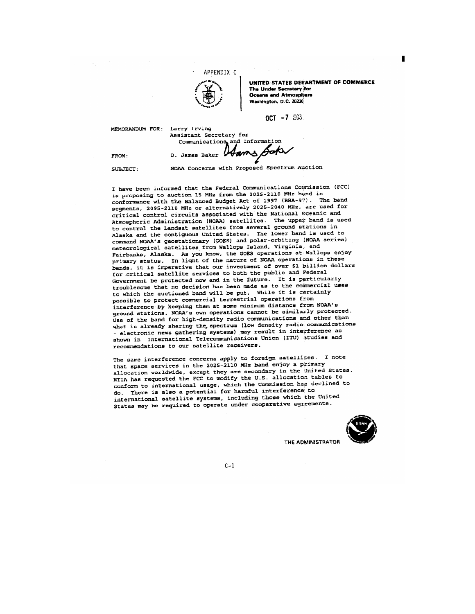

UNITED STATES DEVARTMENT OF COMMERCE The Under Secretary for Oceans and Atmosphere Washington, D.C. 20230

 $OCT - 7.293$ 

MEMORANDUM FOR: Larry Irving Assistant Secretary for Communications and Information **Gof** D. James Baker

FROM: SUBJECT:

NOAA Concerns with Proposed Spectrum Auction

I have been informed that the Federal Communications Commission (FCC) is proposing to auction 15 MHz from the 2025-2110 MHz band in conformance with the Balanced Budget Act of 1997 (BBA-97). The band segments, 2095-2110 MHz or alternatively 2025-2040 MHz, are used for critical control circuits associated with the National Oceanic and Atmospheric Administration (NOAA) satellites. The upper band is used to control the Landsat satellites from several ground stations in Alaska and the contiguous United States. The lower band is used to command NOAA's geostationary (GOES) and polar-orbiting (NOAA series) meteorological satellites from Wallops Island, Virginia, and Fairbanks, Alaska. As you know, the GOES operations at Wallops enjoy primary status. In light of the nature of NOAA operations in these bands, it is imperative that our investment of over \$1 billion dollars for critical satellite services to both the public and Pederal Government be protected now and in the future. It is particularly troublesome that no decision has been made as to the commercial uses to which the auctioned band will be put. While it is certainly possible to protect commercial terrestrial operations from interference by keeping them at some minimum distance from NOAA's ground stations, NOAA's own operations cannot be similarly protected. Use of the band for high-density radio communications and other than what is already sharing the spectrum (low density radio communications - electronic news gathering systems) may result in interference as shown in International Telecommunications Union (ITU) studies and recommendations to our satellite receivers.

The same interference concerns apply to foreign satellites. I note that space services in the 2025-2110 MHz band enjoy a primary allocation worldwide, except they are secondary in the United States. NTIA has requested the FCC to modify the U.S. allocation tables to conform to international usage, which the Commission has declined to do. There is also a potential for harmful interference to international satellite systems, including those which the United States may be required to operate under cooperative agreements.

 $C-1$ 



THE ADMINISTRATOR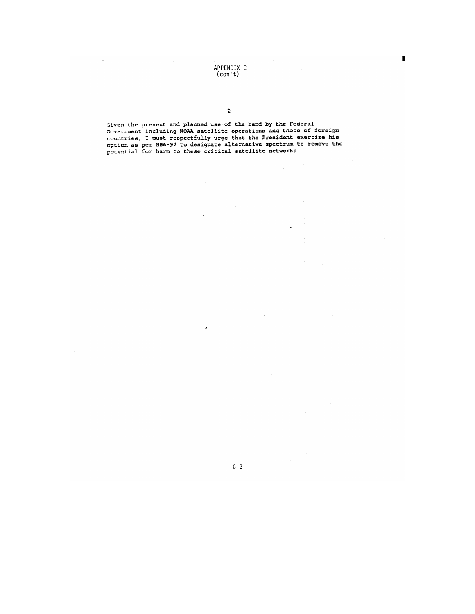APPENDIX C<br>(con't)

¥,

Given the present and planned use of the band by the Federal<br>Government including NOAA satellite operations and those of foreign<br>countries, I must respectfully urge that the President exercise his<br>option as per BBA-97 to d

 $C-2$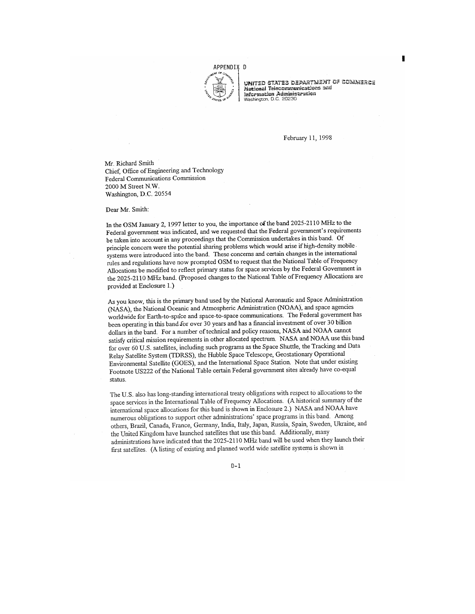

united states department of commerce National Telecommunications and Information Administration

February 11, 1998

Mr. Richard Smith Chief, Office of Engineering and Technology Federal Communications Commission 2000 M Street N.W. Washington, D.C. 20554

Dear Mr. Smith:

In the OSM January 2, 1997 letter to you, the importance of the band 2025-2110 MHz to the Federal government was indicated, and we requested that the Federal government's requirements be taken into account in any proceedings that the Commission undertakes in this band. Of principle concern were the potential sharing problems which would arise if high-density mobile systems were introduced into the band. These concerns and certain changes in the international rules and regulations have now prompted OSM to request that the National Table of Frequency Allocations be modified to reflect primary status for space services by the Federal Government in the 2025-2110 MHz band. (Proposed changes to the National Table of Frequency Allocations are provided at Enclosure 1.)

As you know, this is the primary band used by the National Aeronautic and Space Administration (NASA), the National Oceanic and Atmospheric Administration (NOAA), and space agencies worldwide for Earth-to-space and space-to-space communications. The Federal government has been operating in this band for over 30 years and has a financial investment of over 30 billion dollars in the band. For a number of technical and policy reasons, NASA and NOAA cannot satisfy critical mission requirements in other allocated spectrum. NASA and NOAA use this band for over 60 U.S. satellites, including such programs as the Space Shuttle, the Tracking and Data Relay Satellite System (TDRSS), the Hubble Space Telescope, Geostationary Operational Environmental Satellite (GOES), and the International Space Station. Note that under existing Footnote US222 of the National Table certain Federal government sites already have co-equal status.

The U.S. also has long-standing international treaty obligations with respect to allocations to the space services in the International Table of Frequency Allocations. (A historical summary of the international space allocations for this band is shown in Enclosure 2.) NASA and NOAA have numerous obligations to support other administrations' space programs in this band. Among others, Brazil, Canada, France, Germany, India, Italy, Japan, Russia, Spain, Sweden, Ukraine, and the United Kingdom have launched satellites that use this band. Additionally, many administrations have indicated that the 2025-2110 MHz band will be used when they launch their first satellites. (A listing of existing and planned world wide satellite systems is shown in

 $D-1$